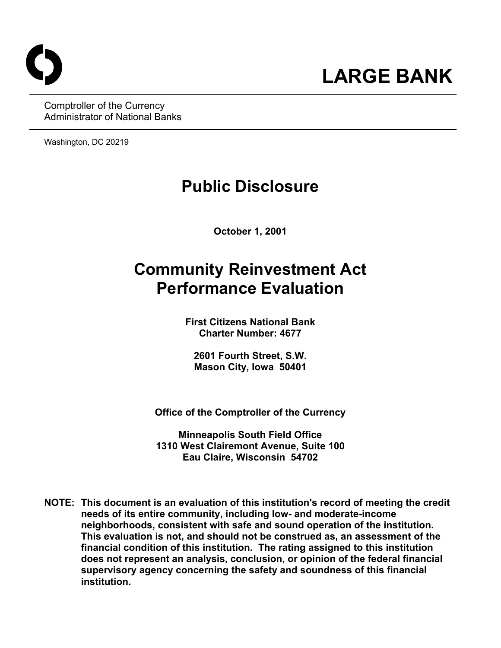Comptroller of the Currency Administrator of National Banks

Washington, DC 20219

# **Public Disclosure**

**October 1, 2001**

# **Community Reinvestment Act Performance Evaluation**

**First Citizens National Bank Charter Number: 4677**

**2601 Fourth Street, S.W. Mason City, Iowa 50401**

**Office of the Comptroller of the Currency**

**Minneapolis South Field Office 1310 West Clairemont Avenue, Suite 100 Eau Claire, Wisconsin 54702**

**NOTE: This document is an evaluation of this institution's record of meeting the credit needs of its entire community, including low- and moderate-income neighborhoods, consistent with safe and sound operation of the institution. This evaluation is not, and should not be construed as, an assessment of the financial condition of this institution. The rating assigned to this institution does not represent an analysis, conclusion, or opinion of the federal financial supervisory agency concerning the safety and soundness of this financial institution.**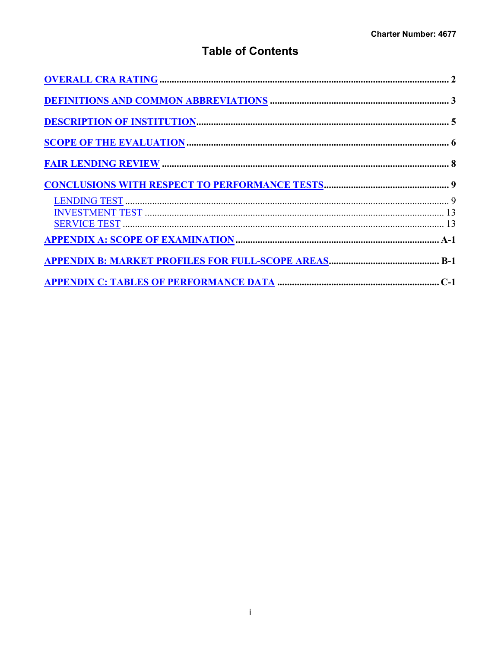## **Table of Contents**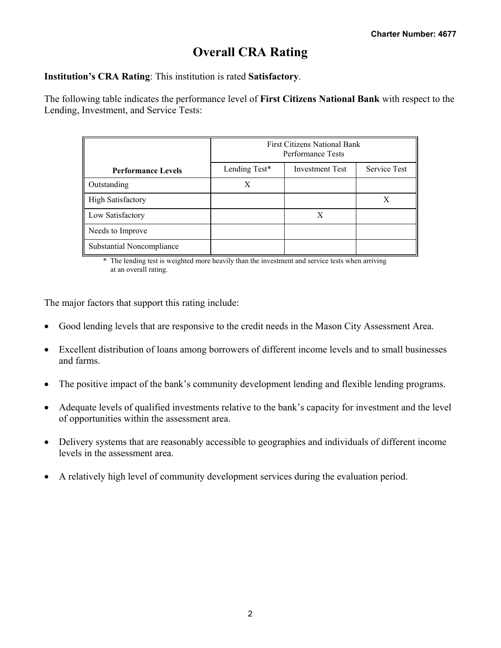## **Overall CRA Rating**

**Institution's CRA Rating**: This institution is rated **Satisfactory**.

The following table indicates the performance level of **First Citizens National Bank** with respect to the Lending, Investment, and Service Tests:

|                           |               | <b>First Citizens National Bank</b><br>Performance Tests |                     |
|---------------------------|---------------|----------------------------------------------------------|---------------------|
| <b>Performance Levels</b> | Lending Test* | <b>Investment Test</b>                                   | <b>Service Test</b> |
| Outstanding               | Х             |                                                          |                     |
| <b>High Satisfactory</b>  |               |                                                          | X                   |
| Low Satisfactory          |               | X                                                        |                     |
| Needs to Improve          |               |                                                          |                     |
| Substantial Noncompliance |               |                                                          |                     |

The lending test is weighted more heavily than the investment and service tests when arriving at an overall rating.

The major factors that support this rating include:

- Good lending levels that are responsive to the credit needs in the Mason City Assessment Area.
- Excellent distribution of loans among borrowers of different income levels and to small businesses and farms.
- The positive impact of the bank's community development lending and flexible lending programs.
- Adequate levels of qualified investments relative to the bank's capacity for investment and the level of opportunities within the assessment area.
- Delivery systems that are reasonably accessible to geographies and individuals of different income levels in the assessment area.
- A relatively high level of community development services during the evaluation period.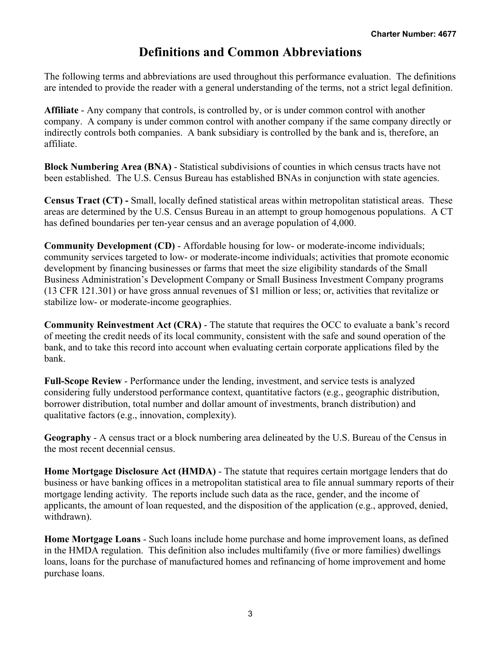## **Definitions and Common Abbreviations**

The following terms and abbreviations are used throughout this performance evaluation. The definitions are intended to provide the reader with a general understanding of the terms, not a strict legal definition.

**Affiliate** - Any company that controls, is controlled by, or is under common control with another company. A company is under common control with another company if the same company directly or indirectly controls both companies. A bank subsidiary is controlled by the bank and is, therefore, an affiliate.

**Block Numbering Area (BNA)** - Statistical subdivisions of counties in which census tracts have not been established. The U.S. Census Bureau has established BNAs in conjunction with state agencies.

**Census Tract (CT) -** Small, locally defined statistical areas within metropolitan statistical areas. These areas are determined by the U.S. Census Bureau in an attempt to group homogenous populations. A CT has defined boundaries per ten-year census and an average population of 4,000.

**Community Development (CD)** - Affordable housing for low- or moderate-income individuals; community services targeted to low- or moderate-income individuals; activities that promote economic development by financing businesses or farms that meet the size eligibility standards of the Small Business Administration's Development Company or Small Business Investment Company programs (13 CFR 121.301) or have gross annual revenues of \$1 million or less; or, activities that revitalize or stabilize low- or moderate-income geographies.

**Community Reinvestment Act (CRA)** - The statute that requires the OCC to evaluate a bank's record of meeting the credit needs of its local community, consistent with the safe and sound operation of the bank, and to take this record into account when evaluating certain corporate applications filed by the bank.

**Full-Scope Review** - Performance under the lending, investment, and service tests is analyzed considering fully understood performance context, quantitative factors (e.g., geographic distribution, borrower distribution, total number and dollar amount of investments, branch distribution) and qualitative factors (e.g., innovation, complexity).

**Geography** - A census tract or a block numbering area delineated by the U.S. Bureau of the Census in the most recent decennial census.

**Home Mortgage Disclosure Act (HMDA)** - The statute that requires certain mortgage lenders that do business or have banking offices in a metropolitan statistical area to file annual summary reports of their mortgage lending activity. The reports include such data as the race, gender, and the income of applicants, the amount of loan requested, and the disposition of the application (e.g., approved, denied, withdrawn).

**Home Mortgage Loans** - Such loans include home purchase and home improvement loans, as defined in the HMDA regulation. This definition also includes multifamily (five or more families) dwellings loans, loans for the purchase of manufactured homes and refinancing of home improvement and home purchase loans.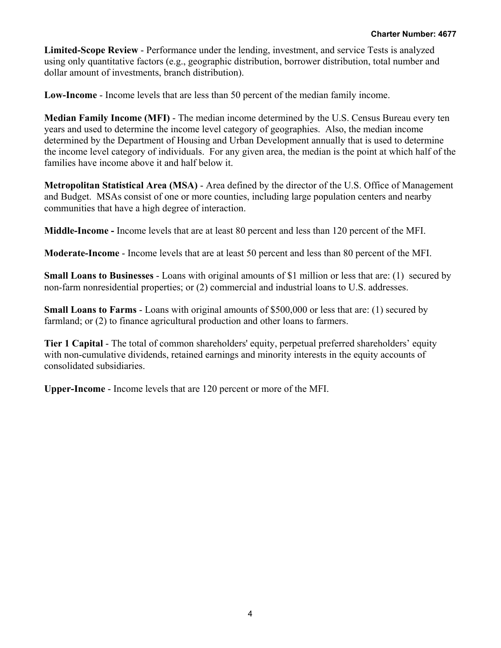**Limited-Scope Review** - Performance under the lending, investment, and service Tests is analyzed using only quantitative factors (e.g., geographic distribution, borrower distribution, total number and dollar amount of investments, branch distribution).

**Low-Income** - Income levels that are less than 50 percent of the median family income.

**Median Family Income (MFI)** - The median income determined by the U.S. Census Bureau every ten years and used to determine the income level category of geographies. Also, the median income determined by the Department of Housing and Urban Development annually that is used to determine the income level category of individuals. For any given area, the median is the point at which half of the families have income above it and half below it.

**Metropolitan Statistical Area (MSA)** - Area defined by the director of the U.S. Office of Management and Budget. MSAs consist of one or more counties, including large population centers and nearby communities that have a high degree of interaction.

**Middle-Income -** Income levels that are at least 80 percent and less than 120 percent of the MFI.

**Moderate-Income** - Income levels that are at least 50 percent and less than 80 percent of the MFI.

**Small Loans to Businesses** - Loans with original amounts of \$1 million or less that are: (1) secured by non-farm nonresidential properties; or (2) commercial and industrial loans to U.S. addresses.

**Small Loans to Farms** - Loans with original amounts of \$500,000 or less that are: (1) secured by farmland; or (2) to finance agricultural production and other loans to farmers.

**Tier 1 Capital** - The total of common shareholders' equity, perpetual preferred shareholders' equity with non-cumulative dividends, retained earnings and minority interests in the equity accounts of consolidated subsidiaries.

**Upper-Income** - Income levels that are 120 percent or more of the MFI.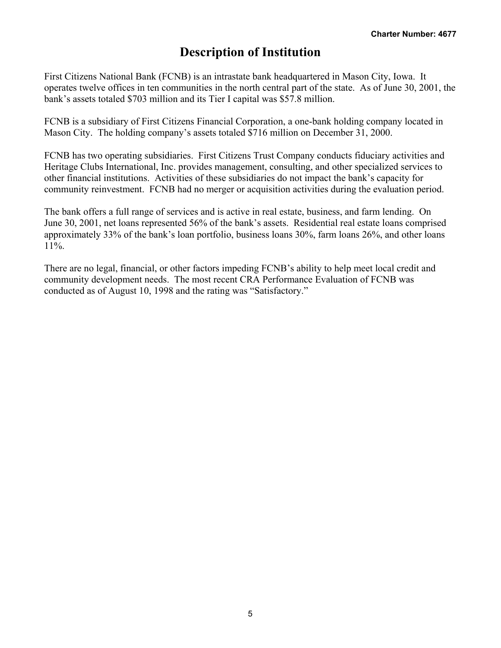## **Description of Institution**

First Citizens National Bank (FCNB) is an intrastate bank headquartered in Mason City, Iowa. It operates twelve offices in ten communities in the north central part of the state. As of June 30, 2001, the bank's assets totaled \$703 million and its Tier I capital was \$57.8 million.

FCNB is a subsidiary of First Citizens Financial Corporation, a one-bank holding company located in Mason City. The holding company's assets totaled \$716 million on December 31, 2000.

FCNB has two operating subsidiaries. First Citizens Trust Company conducts fiduciary activities and Heritage Clubs International, Inc. provides management, consulting, and other specialized services to other financial institutions. Activities of these subsidiaries do not impact the bank's capacity for community reinvestment. FCNB had no merger or acquisition activities during the evaluation period.

The bank offers a full range of services and is active in real estate, business, and farm lending. On June 30, 2001, net loans represented 56% of the bank's assets. Residential real estate loans comprised approximately 33% of the bank's loan portfolio, business loans 30%, farm loans 26%, and other loans 11%.

There are no legal, financial, or other factors impeding FCNB's ability to help meet local credit and community development needs. The most recent CRA Performance Evaluation of FCNB was conducted as of August 10, 1998 and the rating was "Satisfactory."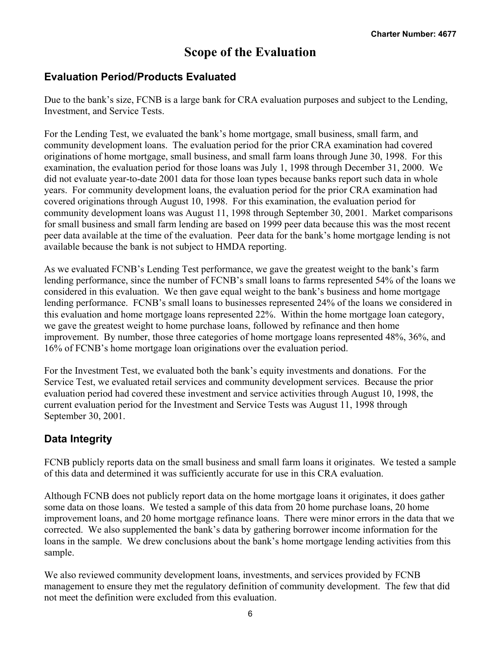## **Scope of the Evaluation**

### **Evaluation Period/Products Evaluated**

Due to the bank's size, FCNB is a large bank for CRA evaluation purposes and subject to the Lending, Investment, and Service Tests.

For the Lending Test, we evaluated the bank's home mortgage, small business, small farm, and community development loans. The evaluation period for the prior CRA examination had covered originations of home mortgage, small business, and small farm loans through June 30, 1998. For this examination, the evaluation period for those loans was July 1, 1998 through December 31, 2000. We did not evaluate year-to-date 2001 data for those loan types because banks report such data in whole years. For community development loans, the evaluation period for the prior CRA examination had covered originations through August 10, 1998. For this examination, the evaluation period for community development loans was August 11, 1998 through September 30, 2001. Market comparisons for small business and small farm lending are based on 1999 peer data because this was the most recent peer data available at the time of the evaluation. Peer data for the bank's home mortgage lending is not available because the bank is not subject to HMDA reporting.

As we evaluated FCNB's Lending Test performance, we gave the greatest weight to the bank's farm lending performance, since the number of FCNB's small loans to farms represented 54% of the loans we considered in this evaluation. We then gave equal weight to the bank's business and home mortgage lending performance. FCNB's small loans to businesses represented 24% of the loans we considered in this evaluation and home mortgage loans represented 22%. Within the home mortgage loan category, we gave the greatest weight to home purchase loans, followed by refinance and then home improvement. By number, those three categories of home mortgage loans represented 48%, 36%, and 16% of FCNB's home mortgage loan originations over the evaluation period.

For the Investment Test, we evaluated both the bank's equity investments and donations. For the Service Test, we evaluated retail services and community development services. Because the prior evaluation period had covered these investment and service activities through August 10, 1998, the current evaluation period for the Investment and Service Tests was August 11, 1998 through September 30, 2001.

### **Data Integrity**

FCNB publicly reports data on the small business and small farm loans it originates. We tested a sample of this data and determined it was sufficiently accurate for use in this CRA evaluation.

Although FCNB does not publicly report data on the home mortgage loans it originates, it does gather some data on those loans. We tested a sample of this data from 20 home purchase loans, 20 home improvement loans, and 20 home mortgage refinance loans. There were minor errors in the data that we corrected. We also supplemented the bank's data by gathering borrower income information for the loans in the sample. We drew conclusions about the bank's home mortgage lending activities from this sample.

We also reviewed community development loans, investments, and services provided by FCNB management to ensure they met the regulatory definition of community development. The few that did not meet the definition were excluded from this evaluation.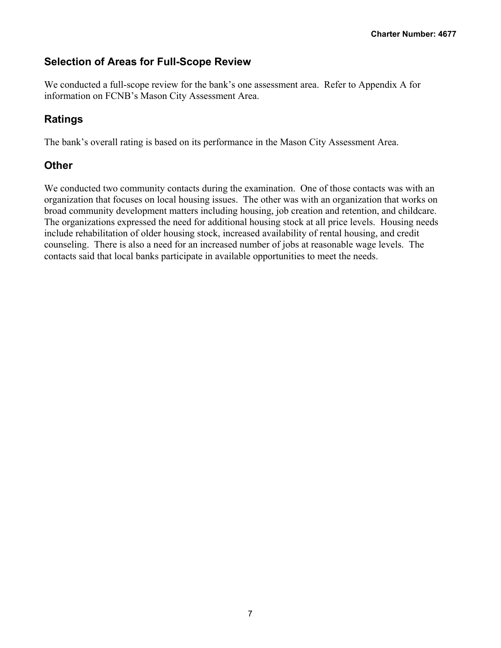## **Selection of Areas for Full-Scope Review**

We conducted a full-scope review for the bank's one assessment area. Refer to Appendix A for information on FCNB's Mason City Assessment Area.

## **Ratings**

The bank's overall rating is based on its performance in the Mason City Assessment Area.

### **Other**

We conducted two community contacts during the examination. One of those contacts was with an organization that focuses on local housing issues. The other was with an organization that works on broad community development matters including housing, job creation and retention, and childcare. The organizations expressed the need for additional housing stock at all price levels. Housing needs include rehabilitation of older housing stock, increased availability of rental housing, and credit counseling. There is also a need for an increased number of jobs at reasonable wage levels. The contacts said that local banks participate in available opportunities to meet the needs.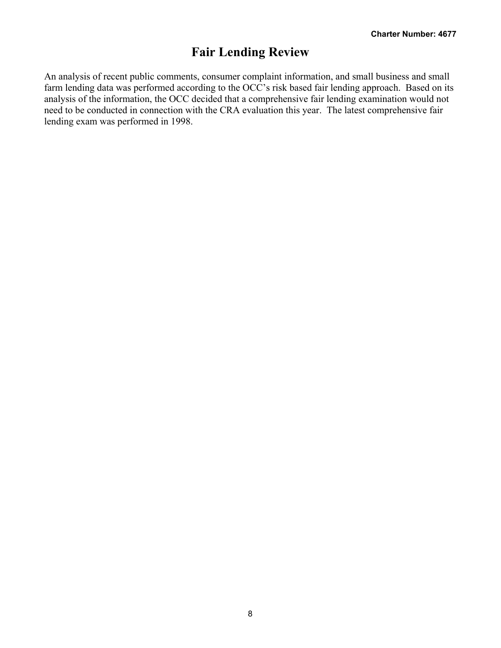## **Fair Lending Review**

An analysis of recent public comments, consumer complaint information, and small business and small farm lending data was performed according to the OCC's risk based fair lending approach. Based on its analysis of the information, the OCC decided that a comprehensive fair lending examination would not need to be conducted in connection with the CRA evaluation this year. The latest comprehensive fair lending exam was performed in 1998.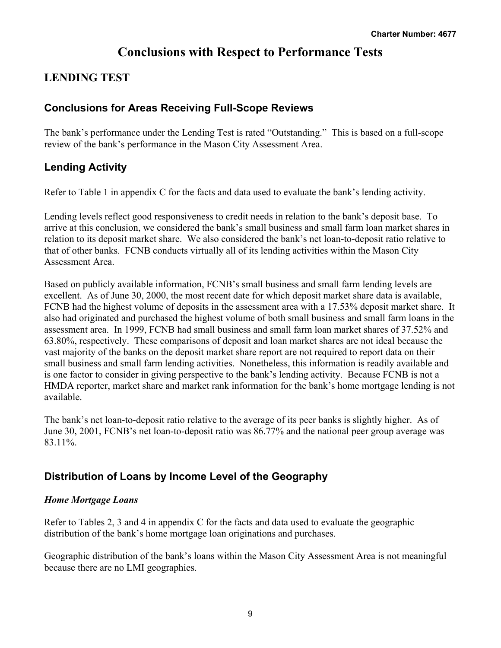## **Conclusions with Respect to Performance Tests**

## **LENDING TEST**

## **Conclusions for Areas Receiving Full-Scope Reviews**

The bank's performance under the Lending Test is rated "Outstanding." This is based on a full-scope review of the bank's performance in the Mason City Assessment Area.

## **Lending Activity**

Refer to Table 1 in appendix C for the facts and data used to evaluate the bank's lending activity.

Lending levels reflect good responsiveness to credit needs in relation to the bank's deposit base. To arrive at this conclusion, we considered the bank's small business and small farm loan market shares in relation to its deposit market share. We also considered the bank's net loan-to-deposit ratio relative to that of other banks. FCNB conducts virtually all of its lending activities within the Mason City Assessment Area.

Based on publicly available information, FCNB's small business and small farm lending levels are excellent. As of June 30, 2000, the most recent date for which deposit market share data is available, FCNB had the highest volume of deposits in the assessment area with a 17.53% deposit market share. It also had originated and purchased the highest volume of both small business and small farm loans in the assessment area. In 1999, FCNB had small business and small farm loan market shares of 37.52% and 63.80%, respectively. These comparisons of deposit and loan market shares are not ideal because the vast majority of the banks on the deposit market share report are not required to report data on their small business and small farm lending activities. Nonetheless, this information is readily available and is one factor to consider in giving perspective to the bank's lending activity. Because FCNB is not a HMDA reporter, market share and market rank information for the bank's home mortgage lending is not available.

The bank's net loan-to-deposit ratio relative to the average of its peer banks is slightly higher. As of June 30, 2001, FCNB's net loan-to-deposit ratio was 86.77% and the national peer group average was 83.11%.

## **Distribution of Loans by Income Level of the Geography**

### *Home Mortgage Loans*

Refer to Tables 2, 3 and 4 in appendix C for the facts and data used to evaluate the geographic distribution of the bank's home mortgage loan originations and purchases.

Geographic distribution of the bank's loans within the Mason City Assessment Area is not meaningful because there are no LMI geographies.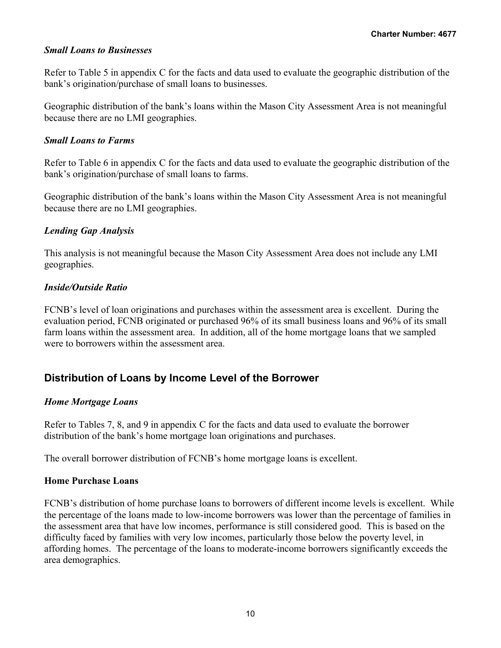#### *Small Loans to Businesses*

Refer to Table 5 in appendix C for the facts and data used to evaluate the geographic distribution of the bank's origination/purchase of small loans to businesses.

Geographic distribution of the bank's loans within the Mason City Assessment Area is not meaningful because there are no LMI geographies.

#### *Small Loans to Farms*

Refer to Table 6 in appendix C for the facts and data used to evaluate the geographic distribution of the bank's origination/purchase of small loans to farms.

Geographic distribution of the bank's loans within the Mason City Assessment Area is not meaningful because there are no LMI geographies.

#### *Lending Gap Analysis*

This analysis is not meaningful because the Mason City Assessment Area does not include any LMI geographies.

#### *Inside/Outside Ratio*

FCNB's level of loan originations and purchases within the assessment area is excellent. During the evaluation period, FCNB originated or purchased 96% of its small business loans and 96% of its small farm loans within the assessment area. In addition, all of the home mortgage loans that we sampled were to borrowers within the assessment area.

### **Distribution of Loans by Income Level of the Borrower**

#### *Home Mortgage Loans*

Refer to Tables 7, 8, and 9 in appendix C for the facts and data used to evaluate the borrower distribution of the bank's home mortgage loan originations and purchases.

The overall borrower distribution of FCNB's home mortgage loans is excellent.

#### **Home Purchase Loans**

FCNB's distribution of home purchase loans to borrowers of different income levels is excellent. While the percentage of the loans made to low-income borrowers was lower than the percentage of families in the assessment area that have low incomes, performance is still considered good. This is based on the difficulty faced by families with very low incomes, particularly those below the poverty level, in affording homes. The percentage of the loans to moderate-income borrowers significantly exceeds the area demographics.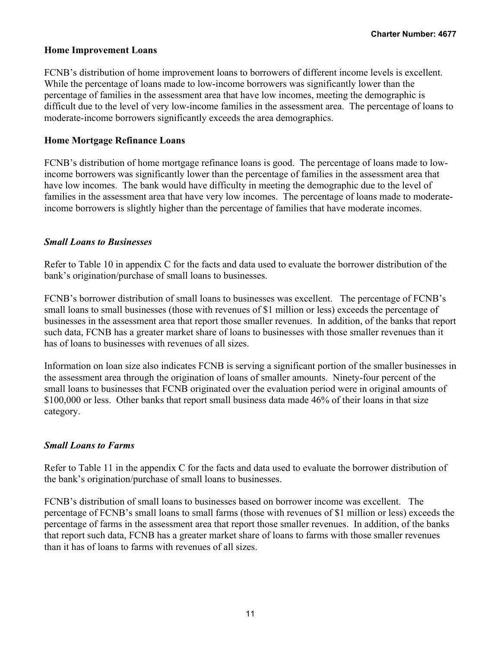#### **Home Improvement Loans**

FCNB's distribution of home improvement loans to borrowers of different income levels is excellent. While the percentage of loans made to low-income borrowers was significantly lower than the percentage of families in the assessment area that have low incomes, meeting the demographic is difficult due to the level of very low-income families in the assessment area. The percentage of loans to moderate-income borrowers significantly exceeds the area demographics.

#### **Home Mortgage Refinance Loans**

FCNB's distribution of home mortgage refinance loans is good. The percentage of loans made to lowincome borrowers was significantly lower than the percentage of families in the assessment area that have low incomes. The bank would have difficulty in meeting the demographic due to the level of families in the assessment area that have very low incomes. The percentage of loans made to moderateincome borrowers is slightly higher than the percentage of families that have moderate incomes.

#### *Small Loans to Businesses*

Refer to Table 10 in appendix C for the facts and data used to evaluate the borrower distribution of the bank's origination/purchase of small loans to businesses.

FCNB's borrower distribution of small loans to businesses was excellent. The percentage of FCNB's small loans to small businesses (those with revenues of \$1 million or less) exceeds the percentage of businesses in the assessment area that report those smaller revenues. In addition, of the banks that report such data, FCNB has a greater market share of loans to businesses with those smaller revenues than it has of loans to businesses with revenues of all sizes.

Information on loan size also indicates FCNB is serving a significant portion of the smaller businesses in the assessment area through the origination of loans of smaller amounts. Ninety-four percent of the small loans to businesses that FCNB originated over the evaluation period were in original amounts of \$100,000 or less. Other banks that report small business data made 46% of their loans in that size category.

#### *Small Loans to Farms*

Refer to Table 11 in the appendix C for the facts and data used to evaluate the borrower distribution of the bank's origination/purchase of small loans to businesses.

FCNB's distribution of small loans to businesses based on borrower income was excellent. The percentage of FCNB's small loans to small farms (those with revenues of \$1 million or less) exceeds the percentage of farms in the assessment area that report those smaller revenues. In addition, of the banks that report such data, FCNB has a greater market share of loans to farms with those smaller revenues than it has of loans to farms with revenues of all sizes.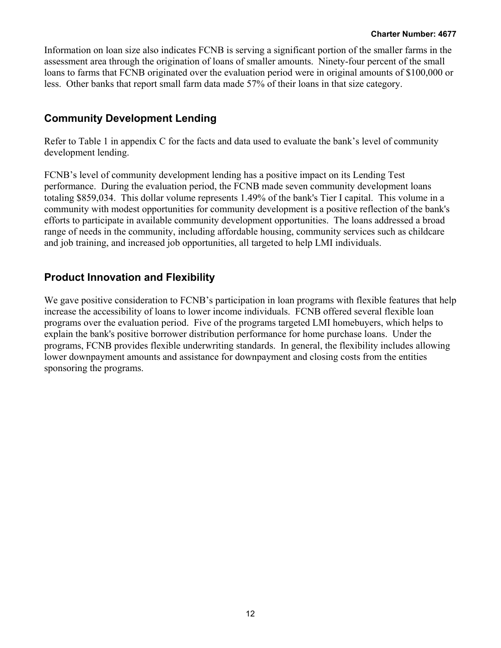Information on loan size also indicates FCNB is serving a significant portion of the smaller farms in the assessment area through the origination of loans of smaller amounts. Ninety-four percent of the small loans to farms that FCNB originated over the evaluation period were in original amounts of \$100,000 or less. Other banks that report small farm data made 57% of their loans in that size category.

## **Community Development Lending**

Refer to Table 1 in appendix C for the facts and data used to evaluate the bank's level of community development lending.

FCNB's level of community development lending has a positive impact on its Lending Test performance. During the evaluation period, the FCNB made seven community development loans totaling \$859,034. This dollar volume represents 1.49% of the bank's Tier I capital. This volume in a community with modest opportunities for community development is a positive reflection of the bank's efforts to participate in available community development opportunities. The loans addressed a broad range of needs in the community, including affordable housing, community services such as childcare and job training, and increased job opportunities, all targeted to help LMI individuals.

### **Product Innovation and Flexibility**

We gave positive consideration to FCNB's participation in loan programs with flexible features that help increase the accessibility of loans to lower income individuals. FCNB offered several flexible loan programs over the evaluation period. Five of the programs targeted LMI homebuyers, which helps to explain the bank's positive borrower distribution performance for home purchase loans. Under the programs, FCNB provides flexible underwriting standards. In general, the flexibility includes allowing lower downpayment amounts and assistance for downpayment and closing costs from the entities sponsoring the programs.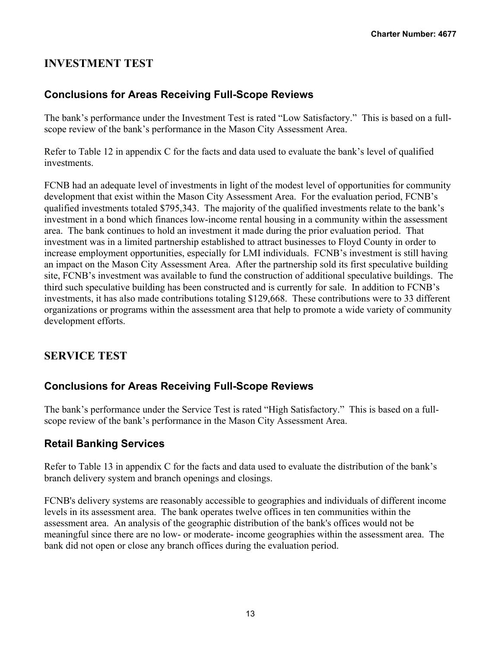## **INVESTMENT TEST**

## **Conclusions for Areas Receiving Full-Scope Reviews**

The bank's performance under the Investment Test is rated "Low Satisfactory." This is based on a fullscope review of the bank's performance in the Mason City Assessment Area.

Refer to Table 12 in appendix C for the facts and data used to evaluate the bank's level of qualified investments.

FCNB had an adequate level of investments in light of the modest level of opportunities for community development that exist within the Mason City Assessment Area. For the evaluation period, FCNB's qualified investments totaled \$795,343. The majority of the qualified investments relate to the bank's investment in a bond which finances low-income rental housing in a community within the assessment area. The bank continues to hold an investment it made during the prior evaluation period. That investment was in a limited partnership established to attract businesses to Floyd County in order to increase employment opportunities, especially for LMI individuals. FCNB's investment is still having an impact on the Mason City Assessment Area. After the partnership sold its first speculative building site, FCNB's investment was available to fund the construction of additional speculative buildings. The third such speculative building has been constructed and is currently for sale. In addition to FCNB's investments, it has also made contributions totaling \$129,668. These contributions were to 33 different organizations or programs within the assessment area that help to promote a wide variety of community development efforts.

### **SERVICE TEST**

### **Conclusions for Areas Receiving Full-Scope Reviews**

The bank's performance under the Service Test is rated "High Satisfactory." This is based on a fullscope review of the bank's performance in the Mason City Assessment Area.

### **Retail Banking Services**

Refer to Table 13 in appendix C for the facts and data used to evaluate the distribution of the bank's branch delivery system and branch openings and closings.

FCNB's delivery systems are reasonably accessible to geographies and individuals of different income levels in its assessment area. The bank operates twelve offices in ten communities within the assessment area. An analysis of the geographic distribution of the bank's offices would not be meaningful since there are no low- or moderate- income geographies within the assessment area. The bank did not open or close any branch offices during the evaluation period.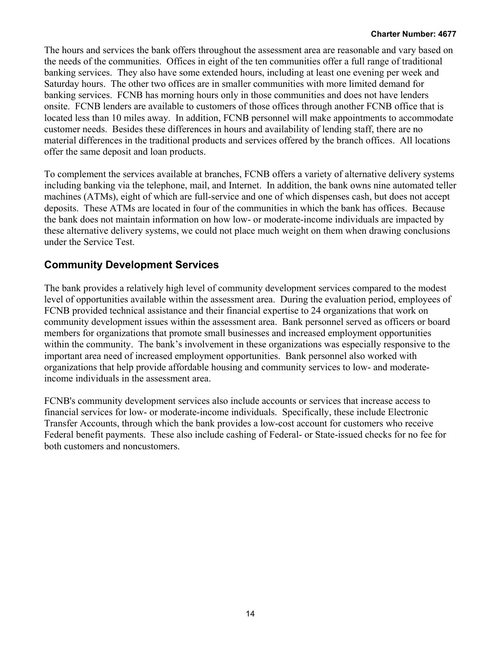The hours and services the bank offers throughout the assessment area are reasonable and vary based on the needs of the communities. Offices in eight of the ten communities offer a full range of traditional banking services. They also have some extended hours, including at least one evening per week and Saturday hours. The other two offices are in smaller communities with more limited demand for banking services. FCNB has morning hours only in those communities and does not have lenders onsite. FCNB lenders are available to customers of those offices through another FCNB office that is located less than 10 miles away. In addition, FCNB personnel will make appointments to accommodate customer needs. Besides these differences in hours and availability of lending staff, there are no material differences in the traditional products and services offered by the branch offices. All locations offer the same deposit and loan products.

To complement the services available at branches, FCNB offers a variety of alternative delivery systems including banking via the telephone, mail, and Internet. In addition, the bank owns nine automated teller machines (ATMs), eight of which are full-service and one of which dispenses cash, but does not accept deposits. These ATMs are located in four of the communities in which the bank has offices. Because the bank does not maintain information on how low- or moderate-income individuals are impacted by these alternative delivery systems, we could not place much weight on them when drawing conclusions under the Service Test.

## **Community Development Services**

The bank provides a relatively high level of community development services compared to the modest level of opportunities available within the assessment area. During the evaluation period, employees of FCNB provided technical assistance and their financial expertise to 24 organizations that work on community development issues within the assessment area. Bank personnel served as officers or board members for organizations that promote small businesses and increased employment opportunities within the community. The bank's involvement in these organizations was especially responsive to the important area need of increased employment opportunities. Bank personnel also worked with organizations that help provide affordable housing and community services to low- and moderateincome individuals in the assessment area.

FCNB's community development services also include accounts or services that increase access to financial services for low- or moderate-income individuals. Specifically, these include Electronic Transfer Accounts, through which the bank provides a low-cost account for customers who receive Federal benefit payments. These also include cashing of Federal- or State-issued checks for no fee for both customers and noncustomers.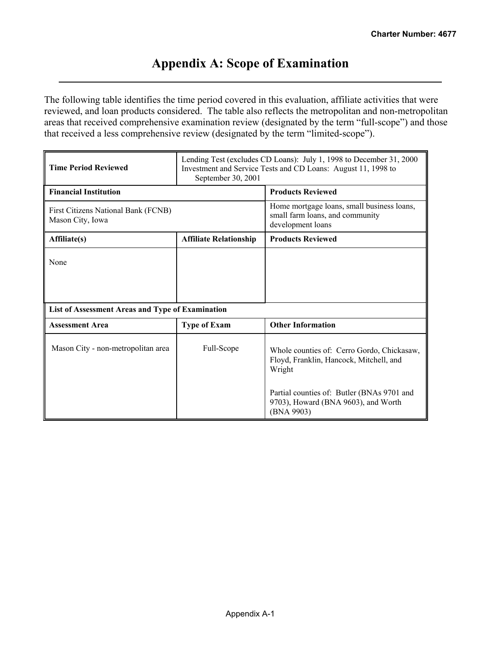## **Appendix A: Scope of Examination**

The following table identifies the time period covered in this evaluation, affiliate activities that were reviewed, and loan products considered. The table also reflects the metropolitan and non-metropolitan areas that received comprehensive examination review (designated by the term "full-scope") and those that received a less comprehensive review (designated by the term "limited-scope").

| <b>Time Period Reviewed</b>                             | Lending Test (excludes CD Loans): July 1, 1998 to December 31, 2000<br>Investment and Service Tests and CD Loans: August 11, 1998 to<br>September 30, 2001 |                                                                                                    |  |  |  |  |  |  |
|---------------------------------------------------------|------------------------------------------------------------------------------------------------------------------------------------------------------------|----------------------------------------------------------------------------------------------------|--|--|--|--|--|--|
| <b>Financial Institution</b>                            |                                                                                                                                                            | <b>Products Reviewed</b>                                                                           |  |  |  |  |  |  |
| First Citizens National Bank (FCNB)<br>Mason City, Iowa |                                                                                                                                                            | Home mortgage loans, small business loans,<br>small farm loans, and community<br>development loans |  |  |  |  |  |  |
| Affiliate(s)                                            | <b>Affiliate Relationship</b>                                                                                                                              | <b>Products Reviewed</b>                                                                           |  |  |  |  |  |  |
| None                                                    |                                                                                                                                                            |                                                                                                    |  |  |  |  |  |  |
| List of Assessment Areas and Type of Examination        |                                                                                                                                                            |                                                                                                    |  |  |  |  |  |  |
| <b>Assessment Area</b>                                  | <b>Type of Exam</b>                                                                                                                                        | <b>Other Information</b>                                                                           |  |  |  |  |  |  |
| Mason City - non-metropolitan area                      | Full-Scope                                                                                                                                                 | Whole counties of: Cerro Gordo, Chickasaw,<br>Floyd, Franklin, Hancock, Mitchell, and<br>Wright    |  |  |  |  |  |  |
|                                                         |                                                                                                                                                            | Partial counties of: Butler (BNAs 9701 and<br>9703), Howard (BNA 9603), and Worth<br>(BNA 9903)    |  |  |  |  |  |  |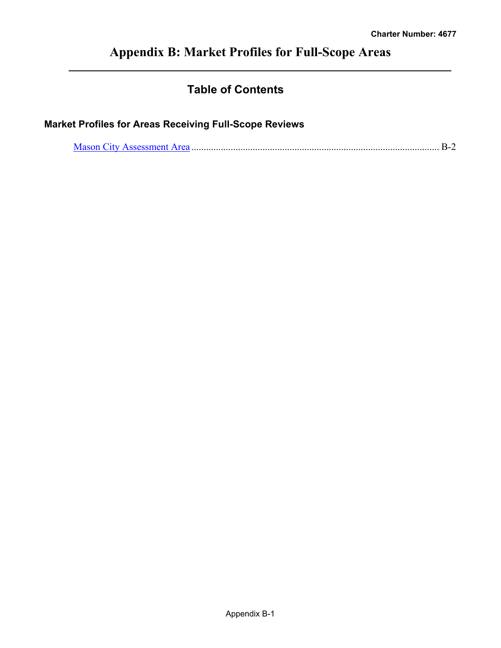# **Appendix B: Market Profiles for Full-Scope Areas**

## **Table of Contents**

## **Market Profiles for Areas Receiving Full-Scope Reviews**

|--|--|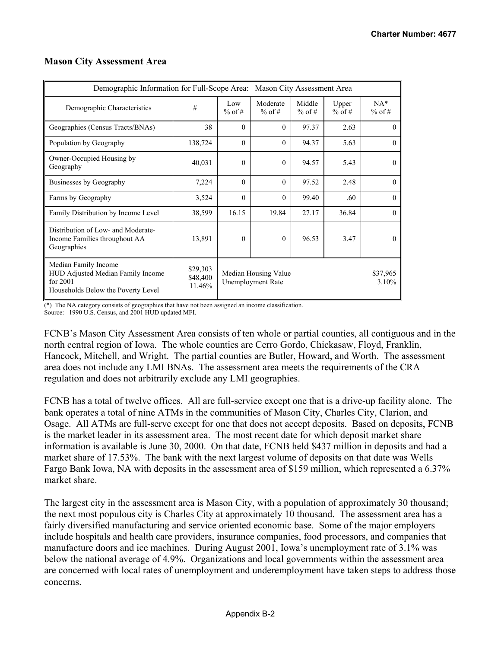| Demographic Information for Full-Scope Area: Mason City Assessment Area                                       |                                |                 |                                                  |                    |                   |                   |  |  |  |  |  |  |  |
|---------------------------------------------------------------------------------------------------------------|--------------------------------|-----------------|--------------------------------------------------|--------------------|-------------------|-------------------|--|--|--|--|--|--|--|
| Demographic Characteristics                                                                                   | #                              | Low<br>$%$ of # | Moderate<br>$%$ of #                             | Middle<br>$%$ of # | Upper<br>$%$ of # | $NA*$<br>$%$ of # |  |  |  |  |  |  |  |
| Geographies (Census Tracts/BNAs)                                                                              | 38                             | $\Omega$        | $\Omega$                                         | 97.37              | 2.63              | $\Omega$          |  |  |  |  |  |  |  |
| Population by Geography                                                                                       | 138,724                        | $\Omega$        | $\theta$                                         | 94.37              | 5.63              | $\Omega$          |  |  |  |  |  |  |  |
| Owner-Occupied Housing by<br>Geography                                                                        | 40,031                         | $\Omega$        | $\theta$                                         | 94.57              | 5.43              | $\theta$          |  |  |  |  |  |  |  |
| Businesses by Geography                                                                                       | 7,224                          | $\Omega$        | $\Omega$                                         | 97.52              | 2.48              | $\Omega$          |  |  |  |  |  |  |  |
| Farms by Geography                                                                                            | 3,524                          | $\Omega$        | $\Omega$                                         | 99.40              | .60               | $\Omega$          |  |  |  |  |  |  |  |
| Family Distribution by Income Level                                                                           | 38,599                         | 16.15           | 19.84                                            | 27.17              | 36.84             | $\Omega$          |  |  |  |  |  |  |  |
| Distribution of Low- and Moderate-<br>Income Families throughout AA<br>Geographies                            | 13,891                         | $\Omega$        | $\theta$                                         | 96.53              | 3.47              | $\Omega$          |  |  |  |  |  |  |  |
| Median Family Income<br>HUD Adjusted Median Family Income<br>for $2001$<br>Households Below the Poverty Level | \$29,303<br>\$48,400<br>11.46% |                 | Median Housing Value<br><b>Unemployment Rate</b> |                    |                   | \$37,965<br>3.10% |  |  |  |  |  |  |  |

#### **Mason City Assessment Area**

(\*) The NA category consists of geographies that have not been assigned an income classification.

Source: 1990 U.S. Census, and 2001 HUD updated MFI.

FCNB's Mason City Assessment Area consists of ten whole or partial counties, all contiguous and in the north central region of Iowa. The whole counties are Cerro Gordo, Chickasaw, Floyd, Franklin, Hancock, Mitchell, and Wright. The partial counties are Butler, Howard, and Worth. The assessment area does not include any LMI BNAs. The assessment area meets the requirements of the CRA regulation and does not arbitrarily exclude any LMI geographies.

FCNB has a total of twelve offices. All are full-service except one that is a drive-up facility alone. The bank operates a total of nine ATMs in the communities of Mason City, Charles City, Clarion, and Osage. All ATMs are full-serve except for one that does not accept deposits. Based on deposits, FCNB is the market leader in its assessment area. The most recent date for which deposit market share information is available is June 30, 2000. On that date, FCNB held \$437 million in deposits and had a market share of 17.53%. The bank with the next largest volume of deposits on that date was Wells Fargo Bank Iowa, NA with deposits in the assessment area of \$159 million, which represented a 6.37% market share.

The largest city in the assessment area is Mason City, with a population of approximately 30 thousand; the next most populous city is Charles City at approximately 10 thousand. The assessment area has a fairly diversified manufacturing and service oriented economic base. Some of the major employers include hospitals and health care providers, insurance companies, food processors, and companies that manufacture doors and ice machines. During August 2001, Iowa's unemployment rate of 3.1% was below the national average of 4.9%. Organizations and local governments within the assessment area are concerned with local rates of unemployment and underemployment have taken steps to address those concerns.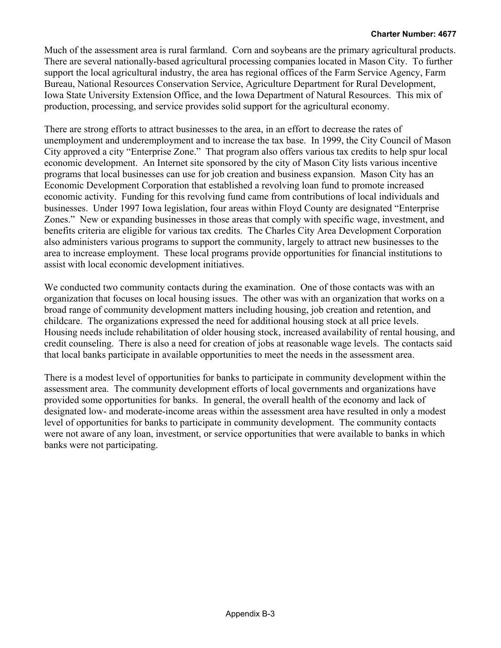Much of the assessment area is rural farmland. Corn and soybeans are the primary agricultural products. There are several nationally-based agricultural processing companies located in Mason City. To further support the local agricultural industry, the area has regional offices of the Farm Service Agency, Farm Bureau, National Resources Conservation Service, Agriculture Department for Rural Development, Iowa State University Extension Office, and the Iowa Department of Natural Resources. This mix of production, processing, and service provides solid support for the agricultural economy.

There are strong efforts to attract businesses to the area, in an effort to decrease the rates of unemployment and underemployment and to increase the tax base. In 1999, the City Council of Mason City approved a city "Enterprise Zone." That program also offers various tax credits to help spur local economic development. An Internet site sponsored by the city of Mason City lists various incentive programs that local businesses can use for job creation and business expansion. Mason City has an Economic Development Corporation that established a revolving loan fund to promote increased economic activity. Funding for this revolving fund came from contributions of local individuals and businesses. Under 1997 Iowa legislation, four areas within Floyd County are designated "Enterprise Zones." New or expanding businesses in those areas that comply with specific wage, investment, and benefits criteria are eligible for various tax credits. The Charles City Area Development Corporation also administers various programs to support the community, largely to attract new businesses to the area to increase employment. These local programs provide opportunities for financial institutions to assist with local economic development initiatives.

We conducted two community contacts during the examination. One of those contacts was with an organization that focuses on local housing issues. The other was with an organization that works on a broad range of community development matters including housing, job creation and retention, and childcare. The organizations expressed the need for additional housing stock at all price levels. Housing needs include rehabilitation of older housing stock, increased availability of rental housing, and credit counseling. There is also a need for creation of jobs at reasonable wage levels. The contacts said that local banks participate in available opportunities to meet the needs in the assessment area.

There is a modest level of opportunities for banks to participate in community development within the assessment area. The community development efforts of local governments and organizations have provided some opportunities for banks. In general, the overall health of the economy and lack of designated low- and moderate-income areas within the assessment area have resulted in only a modest level of opportunities for banks to participate in community development. The community contacts were not aware of any loan, investment, or service opportunities that were available to banks in which banks were not participating.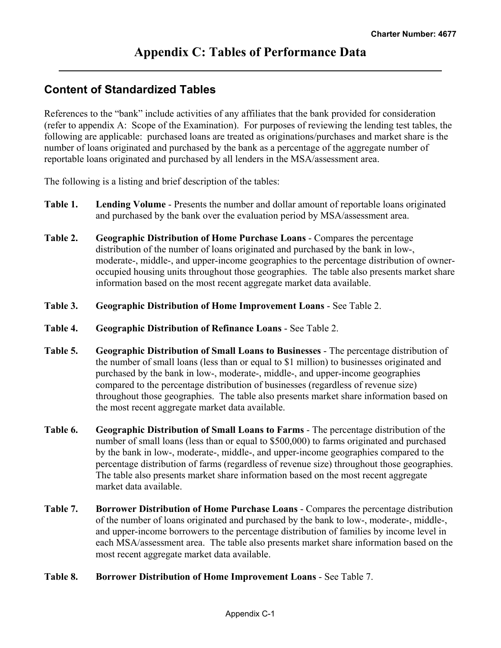## **Content of Standardized Tables**

References to the "bank" include activities of any affiliates that the bank provided for consideration (refer to appendix A: Scope of the Examination). For purposes of reviewing the lending test tables, the following are applicable: purchased loans are treated as originations/purchases and market share is the number of loans originated and purchased by the bank as a percentage of the aggregate number of reportable loans originated and purchased by all lenders in the MSA/assessment area.

The following is a listing and brief description of the tables:

- **Table 1. Lending Volume** Presents the number and dollar amount of reportable loans originated and purchased by the bank over the evaluation period by MSA/assessment area.
- **Table 2. Geographic Distribution of Home Purchase Loans** Compares the percentage distribution of the number of loans originated and purchased by the bank in low-, moderate-, middle-, and upper-income geographies to the percentage distribution of owneroccupied housing units throughout those geographies. The table also presents market share information based on the most recent aggregate market data available.
- **Table 3. Geographic Distribution of Home Improvement Loans** See Table 2.
- **Table 4. Geographic Distribution of Refinance Loans** See Table 2.
- **Table 5. Geographic Distribution of Small Loans to Businesses** The percentage distribution of the number of small loans (less than or equal to \$1 million) to businesses originated and purchased by the bank in low-, moderate-, middle-, and upper-income geographies compared to the percentage distribution of businesses (regardless of revenue size) throughout those geographies. The table also presents market share information based on the most recent aggregate market data available.
- **Table 6. Geographic Distribution of Small Loans to Farms** The percentage distribution of the number of small loans (less than or equal to \$500,000) to farms originated and purchased by the bank in low-, moderate-, middle-, and upper-income geographies compared to the percentage distribution of farms (regardless of revenue size) throughout those geographies. The table also presents market share information based on the most recent aggregate market data available.
- **Table 7. Borrower Distribution of Home Purchase Loans** Compares the percentage distribution of the number of loans originated and purchased by the bank to low-, moderate-, middle-, and upper-income borrowers to the percentage distribution of families by income level in each MSA/assessment area. The table also presents market share information based on the most recent aggregate market data available.
- **Table 8. Borrower Distribution of Home Improvement Loans** See Table 7.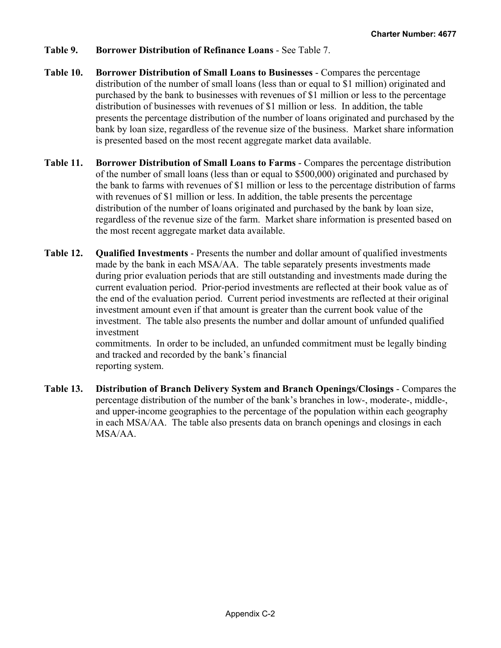- **Table 9. Borrower Distribution of Refinance Loans** See Table 7.
- **Table 10. Borrower Distribution of Small Loans to Businesses** Compares the percentage distribution of the number of small loans (less than or equal to \$1 million) originated and purchased by the bank to businesses with revenues of \$1 million or less to the percentage distribution of businesses with revenues of \$1 million or less. In addition, the table presents the percentage distribution of the number of loans originated and purchased by the bank by loan size, regardless of the revenue size of the business. Market share information is presented based on the most recent aggregate market data available.
- **Table 11. Borrower Distribution of Small Loans to Farms** Compares the percentage distribution of the number of small loans (less than or equal to \$500,000) originated and purchased by the bank to farms with revenues of \$1 million or less to the percentage distribution of farms with revenues of \$1 million or less. In addition, the table presents the percentage distribution of the number of loans originated and purchased by the bank by loan size, regardless of the revenue size of the farm. Market share information is presented based on the most recent aggregate market data available.
- **Table 12. Qualified Investments** Presents the number and dollar amount of qualified investments made by the bank in each MSA/AA. The table separately presents investments made during prior evaluation periods that are still outstanding and investments made during the current evaluation period. Prior-period investments are reflected at their book value as of the end of the evaluation period. Current period investments are reflected at their original investment amount even if that amount is greater than the current book value of the investment. The table also presents the number and dollar amount of unfunded qualified investment commitments. In order to be included, an unfunded commitment must be legally binding

and tracked and recorded by the bank's financial reporting system.

**Table 13. Distribution of Branch Delivery System and Branch Openings/Closings** - Compares the percentage distribution of the number of the bank's branches in low-, moderate-, middle-, and upper-income geographies to the percentage of the population within each geography in each MSA/AA. The table also presents data on branch openings and closings in each MSA/AA.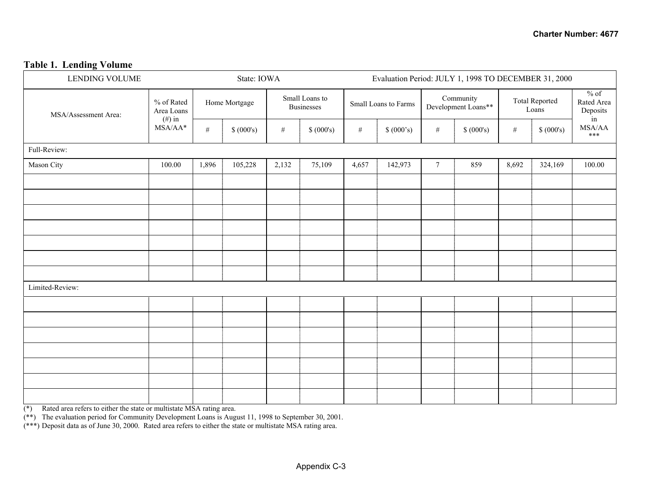#### **Table 1. Lending Volume**

| <b>LENDING VOLUME</b> |                          |               | State: IOWA |                                     |            |       |                      | Evaluation Period: JULY 1, 1998 TO DECEMBER 31, 2000 |                                  |       |                                |                                                                                                                                     |
|-----------------------|--------------------------|---------------|-------------|-------------------------------------|------------|-------|----------------------|------------------------------------------------------|----------------------------------|-------|--------------------------------|-------------------------------------------------------------------------------------------------------------------------------------|
| MSA/Assessment Area:  | % of Rated<br>Area Loans | Home Mortgage |             | Small Loans to<br><b>Businesses</b> |            |       | Small Loans to Farms |                                                      | Community<br>Development Loans** |       | <b>Total Reported</b><br>Loans | $%$ of<br>Rated Area<br>Deposits<br>in                                                                                              |
|                       | $(\#)$ in<br>$MSA/AA*$   | $\#$          | \$ (000's)  | $\#$                                | \$ (000's) | $\#$  | \$ (000's)           | $\#$                                                 | \$ (000's)                       | $\#$  | \$ (000's)                     | $\ensuremath{\mathsf{MS}}\xspace\ensuremath{\mathsf{A}}\xspace/\ensuremath{\mathsf{A}}\xspace\ensuremath{\mathsf{A}}\xspace$<br>*** |
| Full-Review:          |                          |               |             |                                     |            |       |                      |                                                      |                                  |       |                                |                                                                                                                                     |
| Mason City            | 100.00                   | 1,896         | 105,228     | 2,132                               | 75,109     | 4,657 | 142,973              | $\overline{7}$                                       | 859                              | 8,692 | 324,169                        | 100.00                                                                                                                              |
|                       |                          |               |             |                                     |            |       |                      |                                                      |                                  |       |                                |                                                                                                                                     |
|                       |                          |               |             |                                     |            |       |                      |                                                      |                                  |       |                                |                                                                                                                                     |
|                       |                          |               |             |                                     |            |       |                      |                                                      |                                  |       |                                |                                                                                                                                     |
|                       |                          |               |             |                                     |            |       |                      |                                                      |                                  |       |                                |                                                                                                                                     |
|                       |                          |               |             |                                     |            |       |                      |                                                      |                                  |       |                                |                                                                                                                                     |
|                       |                          |               |             |                                     |            |       |                      |                                                      |                                  |       |                                |                                                                                                                                     |
|                       |                          |               |             |                                     |            |       |                      |                                                      |                                  |       |                                |                                                                                                                                     |
| Limited-Review:       |                          |               |             |                                     |            |       |                      |                                                      |                                  |       |                                |                                                                                                                                     |
|                       |                          |               |             |                                     |            |       |                      |                                                      |                                  |       |                                |                                                                                                                                     |
|                       |                          |               |             |                                     |            |       |                      |                                                      |                                  |       |                                |                                                                                                                                     |
|                       |                          |               |             |                                     |            |       |                      |                                                      |                                  |       |                                |                                                                                                                                     |
|                       |                          |               |             |                                     |            |       |                      |                                                      |                                  |       |                                |                                                                                                                                     |
|                       |                          |               |             |                                     |            |       |                      |                                                      |                                  |       |                                |                                                                                                                                     |
|                       |                          |               |             |                                     |            |       |                      |                                                      |                                  |       |                                |                                                                                                                                     |
|                       |                          |               |             |                                     |            |       |                      |                                                      |                                  |       |                                |                                                                                                                                     |

(\*) Rated area refers to either the state or multistate MSA rating area.

(\*\*) The evaluation period for Community Development Loans is August 11, 1998 to September 30, 2001.

(\*\*\*) Deposit data as of June 30, 2000. Rated area refers to either the state or multistate MSA rating area.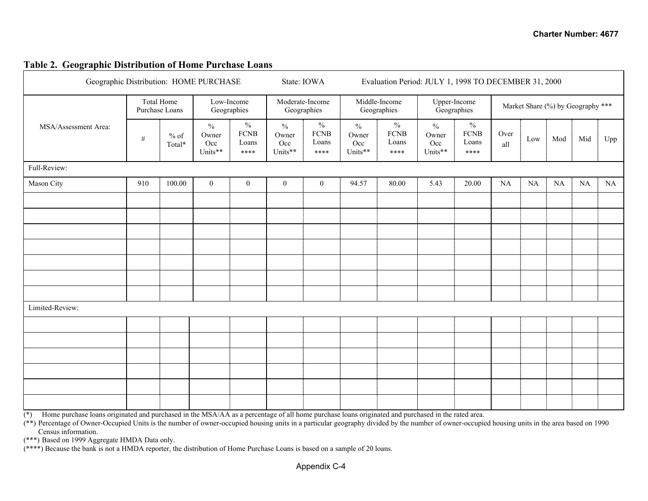#### **Table 2. Geographic Distribution of Home Purchase Loans**

| Geographic Distribution: HOME PURCHASE |            |                   |                                          |                                               | State: IOWA                              |                                               | Evaluation Period: JULY 1, 1998 TO DECEMBER 31, 2000 |                                               |                                          |                                               |             |     |     |                                   |     |
|----------------------------------------|------------|-------------------|------------------------------------------|-----------------------------------------------|------------------------------------------|-----------------------------------------------|------------------------------------------------------|-----------------------------------------------|------------------------------------------|-----------------------------------------------|-------------|-----|-----|-----------------------------------|-----|
|                                        | Total Home | Purchase Loans    | Low-Income                               | Geographies                                   | Moderate-Income<br>Geographies           |                                               | Middle-Income<br>Geographies                         |                                               |                                          | Upper-Income<br>Geographies                   |             |     |     | Market Share (%) by Geography *** |     |
| MSA/Assessment Area:                   | $\#$       | $\%$ of<br>Total* | $\frac{0}{0}$<br>Owner<br>Occ<br>Units** | $\frac{0}{0}$<br><b>FCNB</b><br>Loans<br>**** | $\frac{0}{0}$<br>Owner<br>Occ<br>Units** | $\frac{0}{0}$<br><b>FCNB</b><br>Loans<br>**** | $\frac{0}{0}$<br>Owner<br>Occ<br>Units**             | $\frac{0}{0}$<br><b>FCNB</b><br>Loans<br>**** | $\frac{0}{0}$<br>Owner<br>Occ<br>Units** | $\frac{0}{0}$<br><b>FCNB</b><br>Loans<br>**** | Over<br>all | Low | Mod | Mid                               | Upp |
| Full-Review:                           |            |                   |                                          |                                               |                                          |                                               |                                                      |                                               |                                          |                                               |             |     |     |                                   |     |
| Mason City                             | 910        | 100.00            | $\overline{0}$                           | $\mathbf{0}$                                  | $\boldsymbol{0}$                         | $\boldsymbol{0}$                              | 94.57                                                | 80.00                                         | 5.43                                     | 20.00                                         | NA          | NA  | NA  | NA                                | NA  |
|                                        |            |                   |                                          |                                               |                                          |                                               |                                                      |                                               |                                          |                                               |             |     |     |                                   |     |
|                                        |            |                   |                                          |                                               |                                          |                                               |                                                      |                                               |                                          |                                               |             |     |     |                                   |     |
|                                        |            |                   |                                          |                                               |                                          |                                               |                                                      |                                               |                                          |                                               |             |     |     |                                   |     |
|                                        |            |                   |                                          |                                               |                                          |                                               |                                                      |                                               |                                          |                                               |             |     |     |                                   |     |
|                                        |            |                   |                                          |                                               |                                          |                                               |                                                      |                                               |                                          |                                               |             |     |     |                                   |     |
|                                        |            |                   |                                          |                                               |                                          |                                               |                                                      |                                               |                                          |                                               |             |     |     |                                   |     |
|                                        |            |                   |                                          |                                               |                                          |                                               |                                                      |                                               |                                          |                                               |             |     |     |                                   |     |
| Limited-Review:                        |            |                   |                                          |                                               |                                          |                                               |                                                      |                                               |                                          |                                               |             |     |     |                                   |     |
|                                        |            |                   |                                          |                                               |                                          |                                               |                                                      |                                               |                                          |                                               |             |     |     |                                   |     |
|                                        |            |                   |                                          |                                               |                                          |                                               |                                                      |                                               |                                          |                                               |             |     |     |                                   |     |
|                                        |            |                   |                                          |                                               |                                          |                                               |                                                      |                                               |                                          |                                               |             |     |     |                                   |     |
|                                        |            |                   |                                          |                                               |                                          |                                               |                                                      |                                               |                                          |                                               |             |     |     |                                   |     |
|                                        |            |                   |                                          |                                               |                                          |                                               |                                                      |                                               |                                          |                                               |             |     |     |                                   |     |
|                                        |            |                   |                                          |                                               |                                          |                                               |                                                      |                                               |                                          |                                               |             |     |     |                                   |     |

 $(*)$  Home purchase loans originated and purchased in the MSA/AA as a percentage of all home purchase loans originated and purchased in the rated area.

 $(**)$  Percentage of Owner-Occupied Units is the number of owner-occupied housing units in a particular geography divided by the number of owner-occupied housing units in the area based on 1990 Census information.

(\*\*\*) Based on 1999 Aggregate HMDA Data only.

(\*\*\*\*) Because the bank is not a HMDA reporter, the distribution of Home Purchase Loans is based on a sample of 20 loans.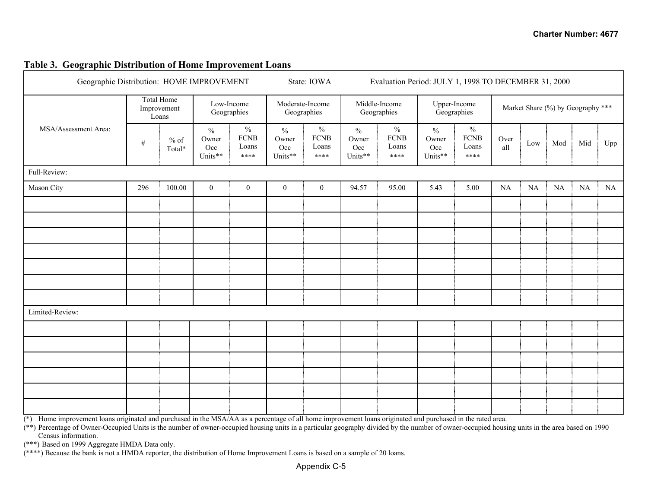#### **Table 3. Geographic Distribution of Home Improvement Loans**

| Geographic Distribution: HOME IMPROVEMENT |      |                                           |                                          |                                      |                                          | State: IOWA                          | Evaluation Period: JULY 1, 1998 TO DECEMBER 31, 2000 |                                      |                                          |                                      |             |          |          |                                   |     |
|-------------------------------------------|------|-------------------------------------------|------------------------------------------|--------------------------------------|------------------------------------------|--------------------------------------|------------------------------------------------------|--------------------------------------|------------------------------------------|--------------------------------------|-------------|----------|----------|-----------------------------------|-----|
|                                           |      | <b>Total Home</b><br>Improvement<br>Loans |                                          | Low-Income<br>Geographies            | Geographies                              | Moderate-Income                      |                                                      | Middle-Income<br>Geographies         |                                          | Upper-Income<br>Geographies          |             |          |          | Market Share (%) by Geography *** |     |
| MSA/Assessment Area:                      | $\#$ | $%$ of<br>Total*                          | $\frac{0}{0}$<br>Owner<br>Occ<br>Units** | $\%$<br><b>FCNB</b><br>Loans<br>**** | $\frac{0}{0}$<br>Owner<br>Occ<br>Units** | $\%$<br><b>FCNB</b><br>Loans<br>**** | $\frac{0}{0}$<br>Owner<br>Occ<br>Units**             | $\%$<br><b>FCNB</b><br>Loans<br>**** | $\frac{0}{0}$<br>Owner<br>Occ<br>Units** | $\%$<br><b>FCNB</b><br>Loans<br>**** | Over<br>all | Low      | Mod      | Mid                               | Upp |
| Full-Review:                              |      |                                           |                                          |                                      |                                          |                                      |                                                      |                                      |                                          |                                      |             |          |          |                                   |     |
| Mason City                                | 296  | 100.00                                    | $\boldsymbol{0}$                         | $\boldsymbol{0}$                     | $\boldsymbol{0}$                         | $\boldsymbol{0}$                     | 94.57                                                | 95.00                                | 5.43                                     | 5.00                                 | NA          | $\rm NA$ | $\rm NA$ | $\rm NA$                          | NA  |
|                                           |      |                                           |                                          |                                      |                                          |                                      |                                                      |                                      |                                          |                                      |             |          |          |                                   |     |
|                                           |      |                                           |                                          |                                      |                                          |                                      |                                                      |                                      |                                          |                                      |             |          |          |                                   |     |
|                                           |      |                                           |                                          |                                      |                                          |                                      |                                                      |                                      |                                          |                                      |             |          |          |                                   |     |
|                                           |      |                                           |                                          |                                      |                                          |                                      |                                                      |                                      |                                          |                                      |             |          |          |                                   |     |
|                                           |      |                                           |                                          |                                      |                                          |                                      |                                                      |                                      |                                          |                                      |             |          |          |                                   |     |
|                                           |      |                                           |                                          |                                      |                                          |                                      |                                                      |                                      |                                          |                                      |             |          |          |                                   |     |
|                                           |      |                                           |                                          |                                      |                                          |                                      |                                                      |                                      |                                          |                                      |             |          |          |                                   |     |
| Limited-Review:                           |      |                                           |                                          |                                      |                                          |                                      |                                                      |                                      |                                          |                                      |             |          |          |                                   |     |
|                                           |      |                                           |                                          |                                      |                                          |                                      |                                                      |                                      |                                          |                                      |             |          |          |                                   |     |
|                                           |      |                                           |                                          |                                      |                                          |                                      |                                                      |                                      |                                          |                                      |             |          |          |                                   |     |
|                                           |      |                                           |                                          |                                      |                                          |                                      |                                                      |                                      |                                          |                                      |             |          |          |                                   |     |
|                                           |      |                                           |                                          |                                      |                                          |                                      |                                                      |                                      |                                          |                                      |             |          |          |                                   |     |
|                                           |      |                                           |                                          |                                      |                                          |                                      |                                                      |                                      |                                          |                                      |             |          |          |                                   |     |
|                                           |      |                                           |                                          |                                      |                                          |                                      |                                                      |                                      |                                          |                                      |             |          |          |                                   |     |

(\*) Home improvement loans originated and purchased in the MSA/AA as a percentage of all home improvement loans originated and purchased in the rated area.

(\*\*) Percentage of Owner-Occupied Units is the number of owner-occupied housing units in a particular geography divided by the number of owner-occupied housing units in the area based on 1990 Census information.

(\*\*\*) Based on 1999 Aggregate HMDA Data only.

(\*\*\*\*) Because the bank is not a HMDA reporter, the distribution of Home Improvement Loans is based on a sample of 20 loans.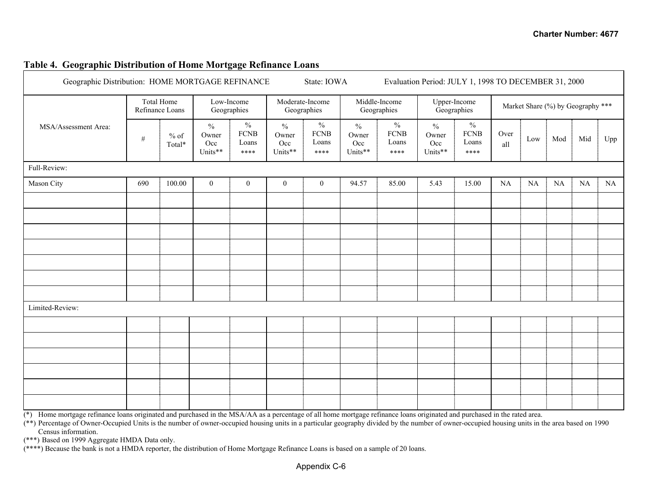| Geographic Distribution: HOME MORTGAGE REFINANCE |      | State: IOWA                          |                                          | Evaluation Period: JULY 1, 1998 TO DECEMBER 31, 2000 |                                          |                                               |                                          |                                               |                                            |                                               |             |                                   |          |          |     |
|--------------------------------------------------|------|--------------------------------------|------------------------------------------|------------------------------------------------------|------------------------------------------|-----------------------------------------------|------------------------------------------|-----------------------------------------------|--------------------------------------------|-----------------------------------------------|-------------|-----------------------------------|----------|----------|-----|
|                                                  |      | <b>Total Home</b><br>Refinance Loans |                                          | Low-Income<br>Geographies                            |                                          | Moderate-Income<br>Geographies                |                                          | Middle-Income<br>Geographies                  |                                            | Upper-Income<br>Geographies                   |             | Market Share (%) by Geography *** |          |          |     |
| MSA/Assessment Area:                             | $\#$ | $%$ of<br>Total*                     | $\frac{0}{0}$<br>Owner<br>Occ<br>Units** | $\frac{0}{0}$<br><b>FCNB</b><br>Loans<br>****        | $\frac{0}{0}$<br>Owner<br>Occ<br>Units** | $\frac{0}{0}$<br><b>FCNB</b><br>Loans<br>**** | $\frac{0}{0}$<br>Owner<br>Occ<br>Units** | $\frac{0}{0}$<br><b>FCNB</b><br>Loans<br>**** | $\sqrt[0]{\!0}$<br>Owner<br>Occ<br>Units** | $\frac{0}{0}$<br><b>FCNB</b><br>Loans<br>**** | Over<br>all | Low                               | Mod      | Mid      | Upp |
| Full-Review:                                     |      |                                      |                                          |                                                      |                                          |                                               |                                          |                                               |                                            |                                               |             |                                   |          |          |     |
| Mason City                                       | 690  | 100.00                               | $\boldsymbol{0}$                         | $\boldsymbol{0}$                                     | $\boldsymbol{0}$                         | $\boldsymbol{0}$                              | 94.57                                    | 85.00                                         | 5.43                                       | 15.00                                         | NA          | NA                                | $\rm NA$ | $\rm NA$ | NA  |
|                                                  |      |                                      |                                          |                                                      |                                          |                                               |                                          |                                               |                                            |                                               |             |                                   |          |          |     |
|                                                  |      |                                      |                                          |                                                      |                                          |                                               |                                          |                                               |                                            |                                               |             |                                   |          |          |     |
|                                                  |      |                                      |                                          |                                                      |                                          |                                               |                                          |                                               |                                            |                                               |             |                                   |          |          |     |
|                                                  |      |                                      |                                          |                                                      |                                          |                                               |                                          |                                               |                                            |                                               |             |                                   |          |          |     |
|                                                  |      |                                      |                                          |                                                      |                                          |                                               |                                          |                                               |                                            |                                               |             |                                   |          |          |     |
|                                                  |      |                                      |                                          |                                                      |                                          |                                               |                                          |                                               |                                            |                                               |             |                                   |          |          |     |
|                                                  |      |                                      |                                          |                                                      |                                          |                                               |                                          |                                               |                                            |                                               |             |                                   |          |          |     |
| Limited-Review:                                  |      |                                      |                                          |                                                      |                                          |                                               |                                          |                                               |                                            |                                               |             |                                   |          |          |     |
|                                                  |      |                                      |                                          |                                                      |                                          |                                               |                                          |                                               |                                            |                                               |             |                                   |          |          |     |
|                                                  |      |                                      |                                          |                                                      |                                          |                                               |                                          |                                               |                                            |                                               |             |                                   |          |          |     |
|                                                  |      |                                      |                                          |                                                      |                                          |                                               |                                          |                                               |                                            |                                               |             |                                   |          |          |     |
|                                                  |      |                                      |                                          |                                                      |                                          |                                               |                                          |                                               |                                            |                                               |             |                                   |          |          |     |
|                                                  |      |                                      |                                          |                                                      |                                          |                                               |                                          |                                               |                                            |                                               |             |                                   |          |          |     |
|                                                  |      |                                      |                                          |                                                      |                                          |                                               |                                          |                                               |                                            |                                               |             |                                   |          |          |     |

#### **Table 4. Geographic Distribution of Home Mortgage Refinance Loans**

(\*) Home mortgage refinance loans originated and purchased in the MSA/AA as a percentage of all home mortgage refinance loans originated and purchased in the rated area.

(\*\*) Percentage of Owner-Occupied Units is the number of owner-occupied housing units in a particular geography divided by the number of owner-occupied housing units in the area based on 1990 Census information.

(\*\*\*) Based on 1999 Aggregate HMDA Data only.

(\*\*\*\*) Because the bank is not a HMDA reporter, the distribution of Home Mortgage Refinance Loans is based on a sample of 20 loans.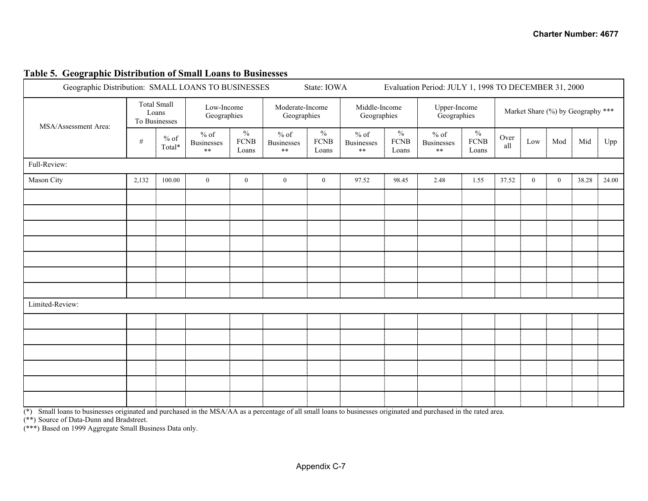| Geographic Distribution: SMALL LOANS TO BUSINESSES |       |                                              |                                    |                                       |                                            | State: IOWA                           |                                      |                                       |                                            |                                           | Evaluation Period: JULY 1, 1998 TO DECEMBER 31, 2000 |              |                  |       |       |
|----------------------------------------------------|-------|----------------------------------------------|------------------------------------|---------------------------------------|--------------------------------------------|---------------------------------------|--------------------------------------|---------------------------------------|--------------------------------------------|-------------------------------------------|------------------------------------------------------|--------------|------------------|-------|-------|
| MSA/Assessment Area:                               |       | <b>Total Small</b><br>Loans<br>To Businesses | Low-Income<br>Geographies          |                                       | Moderate-Income<br>Geographies             |                                       | Middle-Income<br>Geographies         |                                       | Upper-Income<br>Geographies                |                                           | Market Share (%) by Geography ***                    |              |                  |       |       |
|                                                    | $\#$  | $\%$ of<br>$\text{Total*}$                   | $%$ of<br>Businesses<br>$\ast\ast$ | $\frac{0}{0}$<br><b>FCNB</b><br>Loans | $\%$ of<br><b>Businesses</b><br>$\ast\ast$ | $\frac{0}{0}$<br><b>FCNB</b><br>Loans | $%$ of<br><b>Businesses</b><br>$***$ | $\frac{0}{0}$<br><b>FCNB</b><br>Loans | $\%$ of<br><b>Businesses</b><br>$\ast\ast$ | $\frac{0}{0}$<br>${\hbox{FCNB}}$<br>Loans | Over<br>all                                          | Low          | Mod              | Mid   | Upp   |
| Full-Review:                                       |       |                                              |                                    |                                       |                                            |                                       |                                      |                                       |                                            |                                           |                                                      |              |                  |       |       |
| Mason City                                         | 2,132 | 100.00                                       | $\overline{0}$                     | $\mathbf{0}$                          | $\boldsymbol{0}$                           | $\mathbf{0}$                          | 97.52                                | 98.45                                 | 2.48                                       | 1.55                                      | 37.52                                                | $\mathbf{0}$ | $\boldsymbol{0}$ | 38.28 | 24.00 |
|                                                    |       |                                              |                                    |                                       |                                            |                                       |                                      |                                       |                                            |                                           |                                                      |              |                  |       |       |
|                                                    |       |                                              |                                    |                                       |                                            |                                       |                                      |                                       |                                            |                                           |                                                      |              |                  |       |       |
|                                                    |       |                                              |                                    |                                       |                                            |                                       |                                      |                                       |                                            |                                           |                                                      |              |                  |       |       |
|                                                    |       |                                              |                                    |                                       |                                            |                                       |                                      |                                       |                                            |                                           |                                                      |              |                  |       |       |
|                                                    |       |                                              |                                    |                                       |                                            |                                       |                                      |                                       |                                            |                                           |                                                      |              |                  |       |       |
|                                                    |       |                                              |                                    |                                       |                                            |                                       |                                      |                                       |                                            |                                           |                                                      |              |                  |       |       |
|                                                    |       |                                              |                                    |                                       |                                            |                                       |                                      |                                       |                                            |                                           |                                                      |              |                  |       |       |
| Limited-Review:                                    |       |                                              |                                    |                                       |                                            |                                       |                                      |                                       |                                            |                                           |                                                      |              |                  |       |       |
|                                                    |       |                                              |                                    |                                       |                                            |                                       |                                      |                                       |                                            |                                           |                                                      |              |                  |       |       |
|                                                    |       |                                              |                                    |                                       |                                            |                                       |                                      |                                       |                                            |                                           |                                                      |              |                  |       |       |
|                                                    |       |                                              |                                    |                                       |                                            |                                       |                                      |                                       |                                            |                                           |                                                      |              |                  |       |       |
|                                                    |       |                                              |                                    |                                       |                                            |                                       |                                      |                                       |                                            |                                           |                                                      |              |                  |       |       |
|                                                    |       |                                              |                                    |                                       |                                            |                                       |                                      |                                       |                                            |                                           |                                                      |              |                  |       |       |
|                                                    |       |                                              |                                    |                                       |                                            |                                       |                                      |                                       |                                            |                                           |                                                      |              |                  |       |       |

## **Table 5. Geographic Distribution of Small Loans to Businesses**

(\*) Small loans to businesses originated and purchased in the MSA/AA as a percentage of all small loans to businesses originated and purchased in the rated area.

(\*\*) Source of Data-Dunn and Bradstreet.

(\*\*\*) Based on 1999 Aggregate Small Business Data only.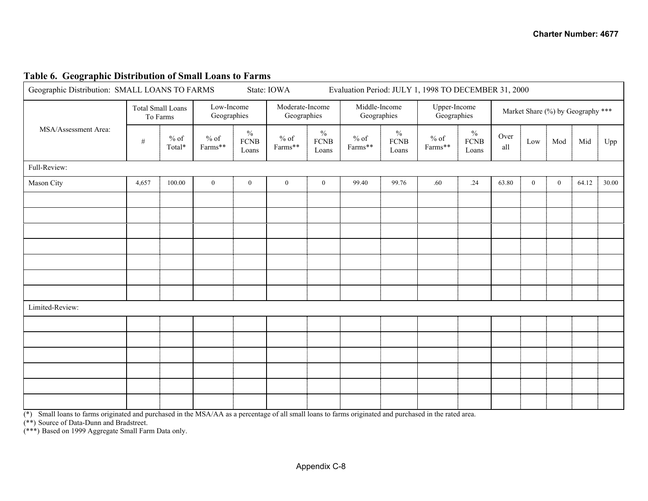#### **Table 6. Geographic Distribution of Small Loans to Farms**

| Geographic Distribution: SMALL LOANS TO FARMS |                          |                  |                           |                                        | State: IOWA                    |                              |                              | Evaluation Period: JULY 1, 1998 TO DECEMBER 31, 2000 |                                  |                                       |             |                |              |                                   |       |
|-----------------------------------------------|--------------------------|------------------|---------------------------|----------------------------------------|--------------------------------|------------------------------|------------------------------|------------------------------------------------------|----------------------------------|---------------------------------------|-------------|----------------|--------------|-----------------------------------|-------|
|                                               | <b>Total Small Loans</b> | To Farms         | Low-Income<br>Geographies |                                        | Moderate-Income<br>Geographies |                              | Middle-Income<br>Geographies |                                                      | Upper-Income<br>Geographies      |                                       |             |                |              | Market Share (%) by Geography *** |       |
| MSA/Assessment Area:                          | $\#$                     | $%$ of<br>Total* | $%$ of<br>Farms**         | $\frac{0}{0}$<br>${\rm FCNB}$<br>Loans | $%$ of<br>Farms**              | $\%$<br><b>FCNB</b><br>Loans | $%$ of<br>Farms**            | $\frac{0}{0}$<br>${\hbox{FCNB}}$<br>Loans            | $\%$ of<br>$\mathrm{Farms^{**}}$ | $\frac{0}{0}$<br><b>FCNB</b><br>Loans | Over<br>all | Low            | Mod          | Mid                               | Upp   |
| Full-Review:                                  |                          |                  |                           |                                        |                                |                              |                              |                                                      |                                  |                                       |             |                |              |                                   |       |
| Mason City                                    | 4,657                    | 100.00           | $\boldsymbol{0}$          | $\boldsymbol{0}$                       | $\overline{0}$                 | $\mathbf{0}$                 | 99.40                        | 99.76                                                | .60                              | .24                                   | 63.80       | $\overline{0}$ | $\mathbf{0}$ | 64.12                             | 30.00 |
|                                               |                          |                  |                           |                                        |                                |                              |                              |                                                      |                                  |                                       |             |                |              |                                   |       |
|                                               |                          |                  |                           |                                        |                                |                              |                              |                                                      |                                  |                                       |             |                |              |                                   |       |
|                                               |                          |                  |                           |                                        |                                |                              |                              |                                                      |                                  |                                       |             |                |              |                                   |       |
|                                               |                          |                  |                           |                                        |                                |                              |                              |                                                      |                                  |                                       |             |                |              |                                   |       |
|                                               |                          |                  |                           |                                        |                                |                              |                              |                                                      |                                  |                                       |             |                |              |                                   |       |
|                                               |                          |                  |                           |                                        |                                |                              |                              |                                                      |                                  |                                       |             |                |              |                                   |       |
|                                               |                          |                  |                           |                                        |                                |                              |                              |                                                      |                                  |                                       |             |                |              |                                   |       |
| Limited-Review:                               |                          |                  |                           |                                        |                                |                              |                              |                                                      |                                  |                                       |             |                |              |                                   |       |
|                                               |                          |                  |                           |                                        |                                |                              |                              |                                                      |                                  |                                       |             |                |              |                                   |       |
|                                               |                          |                  |                           |                                        |                                |                              |                              |                                                      |                                  |                                       |             |                |              |                                   |       |
|                                               |                          |                  |                           |                                        |                                |                              |                              |                                                      |                                  |                                       |             |                |              |                                   |       |
|                                               |                          |                  |                           |                                        |                                |                              |                              |                                                      |                                  |                                       |             |                |              |                                   |       |
|                                               |                          |                  |                           |                                        |                                |                              |                              |                                                      |                                  |                                       |             |                |              |                                   |       |
|                                               |                          |                  |                           |                                        |                                |                              |                              |                                                      |                                  |                                       |             |                |              |                                   |       |

(\*) Small loans to farms originated and purchased in the MSA/AA as a percentage of all small loans to farms originated and purchased in the rated area.

(\*\*) Source of Data-Dunn and Bradstreet.

(\*\*\*) Based on 1999 Aggregate Small Farm Data only.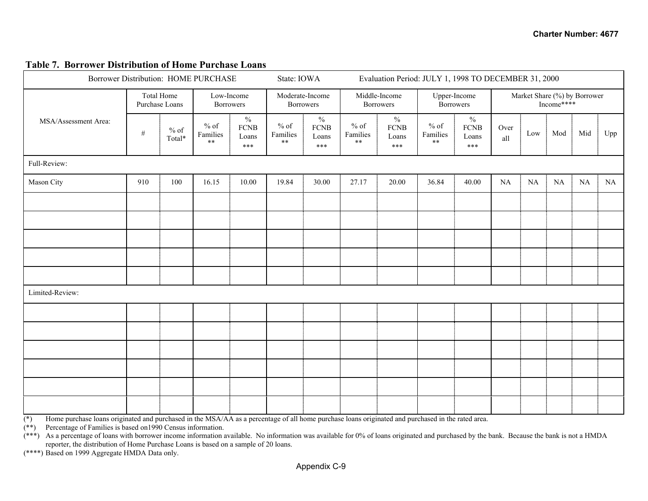#### **Table 7. Borrower Distribution of Home Purchase Loans**

| Borrower Distribution: HOME PURCHASE |                              |                  |                                |                                                | State: IOWA                      |                                                | Evaluation Period: JULY 1, 1998 TO DECEMBER 31, 2000 |                                                |                                  |                                              |             |     |            |                              |     |
|--------------------------------------|------------------------------|------------------|--------------------------------|------------------------------------------------|----------------------------------|------------------------------------------------|------------------------------------------------------|------------------------------------------------|----------------------------------|----------------------------------------------|-------------|-----|------------|------------------------------|-----|
|                                      | Total Home<br>Purchase Loans |                  | Low-Income<br><b>Borrowers</b> |                                                | Moderate-Income                  | <b>Borrowers</b>                               |                                                      | Middle-Income<br><b>Borrowers</b>              | Upper-Income<br><b>Borrowers</b> |                                              |             |     | Income**** | Market Share (%) by Borrower |     |
| MSA/Assessment Area:                 | $\#$                         | $%$ of<br>Total* | $\%$ of<br>Families<br>$***$   | $\frac{0}{0}$<br><b>FCNB</b><br>Loans<br>$***$ | $%$ of<br>Families<br>$\ast\ast$ | $\frac{0}{0}$<br><b>FCNB</b><br>Loans<br>$***$ | $%$ of<br>Families<br>$**$                           | $\frac{0}{0}$<br><b>FCNB</b><br>Loans<br>$***$ | $%$ of<br>Families<br>$* *$      | $\frac{0}{0}$<br><b>FCNB</b><br>Loans<br>*** | Over<br>all | Low | Mod        | Mid                          | Upp |
| Full-Review:                         |                              |                  |                                |                                                |                                  |                                                |                                                      |                                                |                                  |                                              |             |     |            |                              |     |
| Mason City                           | 910                          | 100              | 16.15                          | 10.00                                          | 19.84                            | 30.00                                          | 27.17                                                | 20.00                                          | 36.84                            | 40.00                                        | NA          | NA  | $\rm NA$   | $\rm NA$                     | NA  |
|                                      |                              |                  |                                |                                                |                                  |                                                |                                                      |                                                |                                  |                                              |             |     |            |                              |     |
|                                      |                              |                  |                                |                                                |                                  |                                                |                                                      |                                                |                                  |                                              |             |     |            |                              |     |
|                                      |                              |                  |                                |                                                |                                  |                                                |                                                      |                                                |                                  |                                              |             |     |            |                              |     |
|                                      |                              |                  |                                |                                                |                                  |                                                |                                                      |                                                |                                  |                                              |             |     |            |                              |     |
|                                      |                              |                  |                                |                                                |                                  |                                                |                                                      |                                                |                                  |                                              |             |     |            |                              |     |
| Limited-Review:                      |                              |                  |                                |                                                |                                  |                                                |                                                      |                                                |                                  |                                              |             |     |            |                              |     |
|                                      |                              |                  |                                |                                                |                                  |                                                |                                                      |                                                |                                  |                                              |             |     |            |                              |     |
|                                      |                              |                  |                                |                                                |                                  |                                                |                                                      |                                                |                                  |                                              |             |     |            |                              |     |
|                                      |                              |                  |                                |                                                |                                  |                                                |                                                      |                                                |                                  |                                              |             |     |            |                              |     |
|                                      |                              |                  |                                |                                                |                                  |                                                |                                                      |                                                |                                  |                                              |             |     |            |                              |     |
|                                      |                              |                  |                                |                                                |                                  |                                                |                                                      |                                                |                                  |                                              |             |     |            |                              |     |
|                                      |                              |                  |                                |                                                |                                  |                                                |                                                      |                                                |                                  |                                              |             |     |            |                              |     |

(\*) Home purchase loans originated and purchased in the MSA/AA as a percentage of all home purchase loans originated and purchased in the rated area.

(\*\*) Percentage of Families is based on1990 Census information.

 $(**)$  As a percentage of loans with borrower income information available. No information was available for 0% of loans originated and purchased by the bank. Because the bank is not a HMDA reporter, the distribution of Home Purchase Loans is based on a sample of 20 loans.

(\*\*\*\*) Based on 1999 Aggregate HMDA Data only.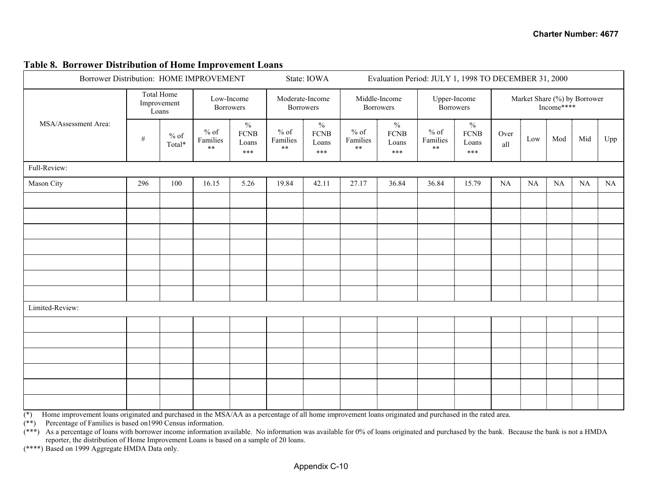| Borrower Distribution: HOME IMPROVEMENT |      |                                    |                             |                                       | State: IOWA                      |                                       | Evaluation Period: JULY 1, 1998 TO DECEMBER 31, 2000 |                                     |                             |                                              |             |                                            |          |     |     |
|-----------------------------------------|------|------------------------------------|-----------------------------|---------------------------------------|----------------------------------|---------------------------------------|------------------------------------------------------|-------------------------------------|-----------------------------|----------------------------------------------|-------------|--------------------------------------------|----------|-----|-----|
|                                         |      | Total Home<br>Improvement<br>Loans |                             | Low-Income<br>Borrowers               |                                  | Moderate-Income<br><b>Borrowers</b>   |                                                      | Middle-Income<br><b>Borrowers</b>   |                             | Upper-Income<br><b>Borrowers</b>             |             | Market Share (%) by Borrower<br>Income**** |          |     |     |
| MSA/Assessment Area:                    | $\#$ | $%$ of<br>$\text{Total*}$          | $\%$ of<br>Families<br>$**$ | $\%$<br><b>FCNB</b><br>Loans<br>$***$ | $%$ of<br>Families<br>$\ast\ast$ | $\%$<br><b>FCNB</b><br>Loans<br>$***$ | $%$ of<br>Families<br>$\ast\ast$                     | $\%$<br><b>FCNB</b><br>Loans<br>*** | $%$ of<br>Families<br>$***$ | $\frac{0}{0}$<br><b>FCNB</b><br>Loans<br>*** | Over<br>all | Low                                        | Mod      | Mid | Upp |
| Full-Review:                            |      |                                    |                             |                                       |                                  |                                       |                                                      |                                     |                             |                                              |             |                                            |          |     |     |
| Mason City                              | 296  | 100                                | 16.15                       | 5.26                                  | 19.84                            | 42.11                                 | 27.17                                                | 36.84                               | 36.84                       | 15.79                                        | NA          | $\rm NA$                                   | $\rm NA$ | NA  | NA  |
|                                         |      |                                    |                             |                                       |                                  |                                       |                                                      |                                     |                             |                                              |             |                                            |          |     |     |
|                                         |      |                                    |                             |                                       |                                  |                                       |                                                      |                                     |                             |                                              |             |                                            |          |     |     |
|                                         |      |                                    |                             |                                       |                                  |                                       |                                                      |                                     |                             |                                              |             |                                            |          |     |     |
|                                         |      |                                    |                             |                                       |                                  |                                       |                                                      |                                     |                             |                                              |             |                                            |          |     |     |
|                                         |      |                                    |                             |                                       |                                  |                                       |                                                      |                                     |                             |                                              |             |                                            |          |     |     |
|                                         |      |                                    |                             |                                       |                                  |                                       |                                                      |                                     |                             |                                              |             |                                            |          |     |     |
|                                         |      |                                    |                             |                                       |                                  |                                       |                                                      |                                     |                             |                                              |             |                                            |          |     |     |
| Limited-Review:                         |      |                                    |                             |                                       |                                  |                                       |                                                      |                                     |                             |                                              |             |                                            |          |     |     |
|                                         |      |                                    |                             |                                       |                                  |                                       |                                                      |                                     |                             |                                              |             |                                            |          |     |     |
|                                         |      |                                    |                             |                                       |                                  |                                       |                                                      |                                     |                             |                                              |             |                                            |          |     |     |
|                                         |      |                                    |                             |                                       |                                  |                                       |                                                      |                                     |                             |                                              |             |                                            |          |     |     |
|                                         |      |                                    |                             |                                       |                                  |                                       |                                                      |                                     |                             |                                              |             |                                            |          |     |     |
|                                         |      |                                    |                             |                                       |                                  |                                       |                                                      |                                     |                             |                                              |             |                                            |          |     |     |
|                                         |      |                                    |                             |                                       |                                  |                                       |                                                      |                                     |                             |                                              |             |                                            |          |     |     |

#### **Table 8. Borrower Distribution of Home Improvement Loans**

 $(*)$  Home improvement loans originated and purchased in the MSA/AA as a percentage of all home improvement loans originated and purchased in the rated area.

(\*\*) Percentage of Families is based on1990 Census information.

(\*\*\*) As a percentage of loans with borrower income information available. No information was available for 0% of loans originated and purchased by the bank. Because the bank is not a HMDA reporter, the distribution of Home Improvement Loans is based on a sample of 20 loans.

(\*\*\*\*) Based on 1999 Aggregate HMDA Data only.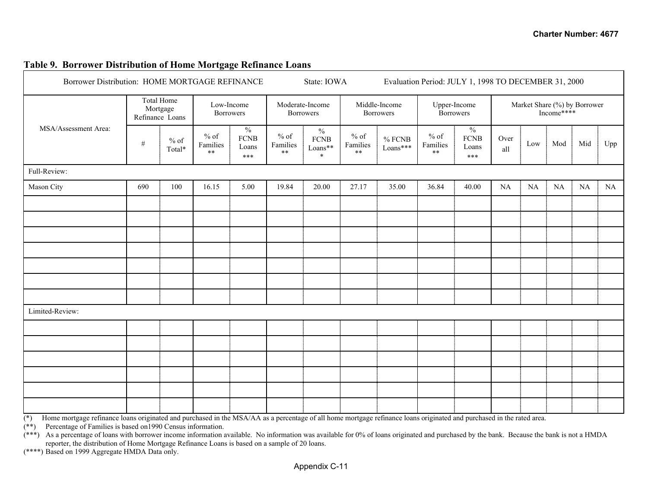#### **Table 9. Borrower Distribution of Home Mortgage Refinance Loans**

| Borrower Distribution: HOME MORTGAGE REFINANCE |      |                                           |                                  |                                              |                             | Evaluation Period: JULY 1, 1998 TO DECEMBER 31, 2000<br>State: IOWA |                            |                                   |                              |                                                |             |                                            |          |          |     |
|------------------------------------------------|------|-------------------------------------------|----------------------------------|----------------------------------------------|-----------------------------|---------------------------------------------------------------------|----------------------------|-----------------------------------|------------------------------|------------------------------------------------|-------------|--------------------------------------------|----------|----------|-----|
| MSA/Assessment Area:                           |      | Total Home<br>Mortgage<br>Refinance Loans | Low-Income<br><b>Borrowers</b>   |                                              |                             | Moderate-Income<br><b>Borrowers</b>                                 |                            | Middle-Income<br><b>Borrowers</b> |                              | Upper-Income<br><b>Borrowers</b>               |             | Market Share (%) by Borrower<br>Income**** |          |          |     |
|                                                | $\#$ | $%$ of<br>Total*                          | $%$ of<br>Families<br>$\ast\ast$ | $\frac{0}{0}$<br><b>FCNB</b><br>Loans<br>*** | $%$ of<br>Families<br>$***$ | $\frac{0}{0}$<br>${\hbox{FCNB}}$<br>$\mathrm{Loans^{**}}$<br>$\ast$ | $%$ of<br>Families<br>$**$ | $\%$ FCNB<br>Loans***             | $\%$ of<br>Families<br>$***$ | $\frac{0}{6}$<br><b>FCNB</b><br>Loans<br>$***$ | Over<br>all | Low                                        | Mod      | Mid      | Upp |
| Full-Review:                                   |      |                                           |                                  |                                              |                             |                                                                     |                            |                                   |                              |                                                |             |                                            |          |          |     |
| Mason City                                     | 690  | 100                                       | 16.15                            | 5.00                                         | 19.84                       | 20.00                                                               | 27.17                      | 35.00                             | 36.84                        | 40.00                                          | NA          | $\rm NA$                                   | $\rm NA$ | $\rm NA$ | NA  |
|                                                |      |                                           |                                  |                                              |                             |                                                                     |                            |                                   |                              |                                                |             |                                            |          |          |     |
|                                                |      |                                           |                                  |                                              |                             |                                                                     |                            |                                   |                              |                                                |             |                                            |          |          |     |
|                                                |      |                                           |                                  |                                              |                             |                                                                     |                            |                                   |                              |                                                |             |                                            |          |          |     |
|                                                |      |                                           |                                  |                                              |                             |                                                                     |                            |                                   |                              |                                                |             |                                            |          |          |     |
|                                                |      |                                           |                                  |                                              |                             |                                                                     |                            |                                   |                              |                                                |             |                                            |          |          |     |
|                                                |      |                                           |                                  |                                              |                             |                                                                     |                            |                                   |                              |                                                |             |                                            |          |          |     |
|                                                |      |                                           |                                  |                                              |                             |                                                                     |                            |                                   |                              |                                                |             |                                            |          |          |     |
| Limited-Review:                                |      |                                           |                                  |                                              |                             |                                                                     |                            |                                   |                              |                                                |             |                                            |          |          |     |
|                                                |      |                                           |                                  |                                              |                             |                                                                     |                            |                                   |                              |                                                |             |                                            |          |          |     |
|                                                |      |                                           |                                  |                                              |                             |                                                                     |                            |                                   |                              |                                                |             |                                            |          |          |     |
|                                                |      |                                           |                                  |                                              |                             |                                                                     |                            |                                   |                              |                                                |             |                                            |          |          |     |
|                                                |      |                                           |                                  |                                              |                             |                                                                     |                            |                                   |                              |                                                |             |                                            |          |          |     |
|                                                |      |                                           |                                  |                                              |                             |                                                                     |                            |                                   |                              |                                                |             |                                            |          |          |     |
|                                                |      |                                           |                                  |                                              |                             |                                                                     |                            |                                   |                              |                                                |             |                                            |          |          |     |

 $\overline{(*)}$  Home mortgage refinance loans originated and purchased in the MSA/AA as a percentage of all home mortgage refinance loans originated and purchased in the rated area.

(\*\*) Percentage of Families is based on1990 Census information.

 $(**)$  As a percentage of loans with borrower income information available. No information was available for 0% of loans originated and purchased by the bank. Because the bank is not a HMDA reporter, the distribution of Home Mortgage Refinance Loans is based on a sample of 20 loans.

(\*\*\*\*) Based on 1999 Aggregate HMDA Data only.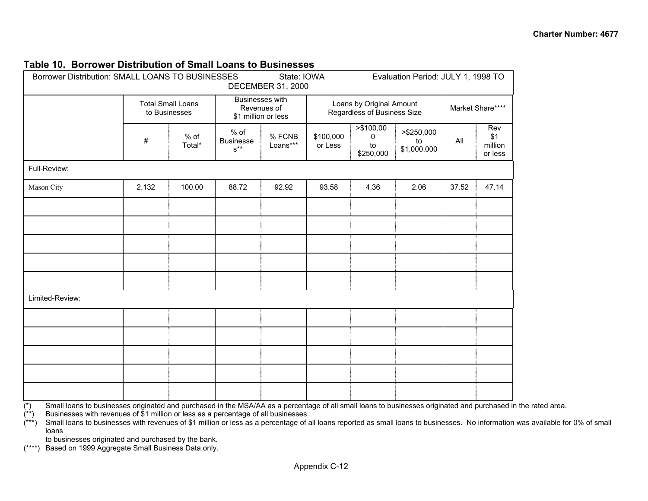#### **Table 10. Borrower Distribution of Small Loans to Businesses**

| Borrower Distribution: SMALL LOANS TO BUSINESSES |       |                                           |                                                         | State: IOWA<br><b>DECEMBER 31, 2000</b> |                      |                                                         | Evaluation Period: JULY 1, 1998 TO |       |                                  |
|--------------------------------------------------|-------|-------------------------------------------|---------------------------------------------------------|-----------------------------------------|----------------------|---------------------------------------------------------|------------------------------------|-------|----------------------------------|
|                                                  |       | <b>Total Small Loans</b><br>to Businesses | <b>Businesses</b> with                                  | Revenues of<br>\$1 million or less      |                      | Loans by Original Amount<br>Regardless of Business Size | Market Share****                   |       |                                  |
|                                                  | $\#$  | % of<br>Total*                            | $%$ of<br><b>Businesse</b><br>$\textbf{s}^{\star\star}$ | % FCNB<br>Loans***                      | \$100,000<br>or Less | > \$100,00<br>0<br>to<br>\$250,000                      | >\$250,000<br>to<br>\$1,000,000    | All   | Rev<br>\$1<br>million<br>or less |
| Full-Review:                                     |       |                                           |                                                         |                                         |                      |                                                         |                                    |       |                                  |
| Mason City                                       | 2,132 | 100.00                                    | 88.72                                                   | 92.92                                   | 93.58                | 4.36                                                    | 2.06                               | 37.52 | 47.14                            |
|                                                  |       |                                           |                                                         |                                         |                      |                                                         |                                    |       |                                  |
|                                                  |       |                                           |                                                         |                                         |                      |                                                         |                                    |       |                                  |
|                                                  |       |                                           |                                                         |                                         |                      |                                                         |                                    |       |                                  |
|                                                  |       |                                           |                                                         |                                         |                      |                                                         |                                    |       |                                  |
|                                                  |       |                                           |                                                         |                                         |                      |                                                         |                                    |       |                                  |
| Limited-Review:                                  |       |                                           |                                                         |                                         |                      |                                                         |                                    |       |                                  |
|                                                  |       |                                           |                                                         |                                         |                      |                                                         |                                    |       |                                  |
|                                                  |       |                                           |                                                         |                                         |                      |                                                         |                                    |       |                                  |
|                                                  |       |                                           |                                                         |                                         |                      |                                                         |                                    |       |                                  |
|                                                  |       |                                           |                                                         |                                         |                      |                                                         |                                    |       |                                  |
|                                                  |       |                                           |                                                         |                                         |                      |                                                         |                                    |       |                                  |

 $\overline{(*)}$  Small loans to businesses originated and purchased in the MSA/AA as a percentage of all small loans to businesses originated and purchased in the rated area.<br>(\*\*) Businesses with revenues of \$1 million or less as

Businesses with revenues of  $$1$  million or less as a percentage of all businesses.

 $(***)$  Small loans to businesses with revenues of \$1 million or less as a percentage of all loans reported as small loans to businesses. No information was available for 0% of small loans

to businesses originated and purchased by the bank.

(\*\*\*\*) Based on 1999 Aggregate Small Business Data only.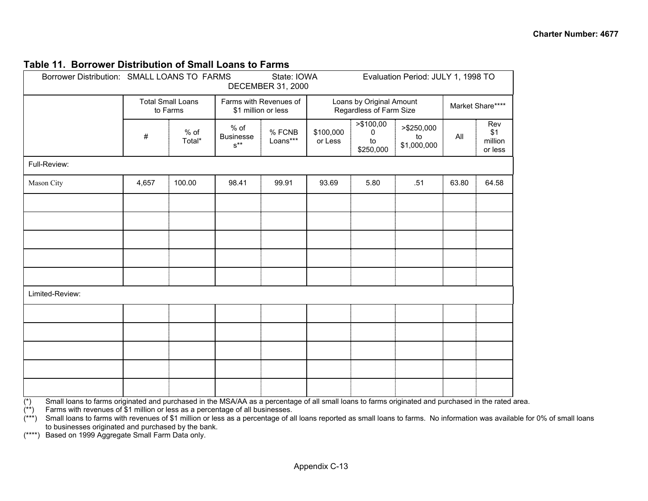#### **Table 11. Borrower Distribution of Small Loans to Farms**

|                 | Borrower Distribution: SMALL LOANS TO FARMS<br>Evaluation Period: JULY 1, 1998 TO<br>State: IOWA<br>DECEMBER 31, 2000<br>Loans by Original Amount<br><b>Total Small Loans</b><br>Farms with Revenues of<br>Regardless of Farm Size<br>to Farms<br>\$1 million or less<br>> \$100,00<br>>\$250,000<br>$%$ of<br>% of<br>% FCNB<br>\$100,000<br>$\mathbf{0}$<br>$\#$<br><b>Businesse</b><br>to<br>Loans***<br>Total*<br>or Less<br>to<br>$\textbf{s}^{\star\star}$<br>\$1,000,000<br>\$250,000 |        |       |       |       |      |                  |       |                                  |  |
|-----------------|----------------------------------------------------------------------------------------------------------------------------------------------------------------------------------------------------------------------------------------------------------------------------------------------------------------------------------------------------------------------------------------------------------------------------------------------------------------------------------------------|--------|-------|-------|-------|------|------------------|-------|----------------------------------|--|
|                 |                                                                                                                                                                                                                                                                                                                                                                                                                                                                                              |        |       |       |       |      | Market Share**** |       |                                  |  |
|                 |                                                                                                                                                                                                                                                                                                                                                                                                                                                                                              |        |       |       |       |      |                  | All   | Rev<br>\$1<br>million<br>or less |  |
| Full-Review:    |                                                                                                                                                                                                                                                                                                                                                                                                                                                                                              |        |       |       |       |      |                  |       |                                  |  |
| Mason City      | 4,657                                                                                                                                                                                                                                                                                                                                                                                                                                                                                        | 100.00 | 98.41 | 99.91 | 93.69 | 5.80 | .51              | 63.80 | 64.58                            |  |
|                 |                                                                                                                                                                                                                                                                                                                                                                                                                                                                                              |        |       |       |       |      |                  |       |                                  |  |
|                 |                                                                                                                                                                                                                                                                                                                                                                                                                                                                                              |        |       |       |       |      |                  |       |                                  |  |
|                 |                                                                                                                                                                                                                                                                                                                                                                                                                                                                                              |        |       |       |       |      |                  |       |                                  |  |
|                 |                                                                                                                                                                                                                                                                                                                                                                                                                                                                                              |        |       |       |       |      |                  |       |                                  |  |
|                 |                                                                                                                                                                                                                                                                                                                                                                                                                                                                                              |        |       |       |       |      |                  |       |                                  |  |
| Limited-Review: |                                                                                                                                                                                                                                                                                                                                                                                                                                                                                              |        |       |       |       |      |                  |       |                                  |  |
|                 |                                                                                                                                                                                                                                                                                                                                                                                                                                                                                              |        |       |       |       |      |                  |       |                                  |  |
|                 |                                                                                                                                                                                                                                                                                                                                                                                                                                                                                              |        |       |       |       |      |                  |       |                                  |  |
|                 |                                                                                                                                                                                                                                                                                                                                                                                                                                                                                              |        |       |       |       |      |                  |       |                                  |  |
|                 |                                                                                                                                                                                                                                                                                                                                                                                                                                                                                              |        |       |       |       |      |                  |       |                                  |  |
|                 |                                                                                                                                                                                                                                                                                                                                                                                                                                                                                              |        |       |       |       |      |                  |       |                                  |  |
|                 |                                                                                                                                                                                                                                                                                                                                                                                                                                                                                              |        |       |       |       |      |                  |       |                                  |  |

 $\overline{(*)}$  Small loans to farms originated and purchased in the MSA/AA as a percentage of all small loans to farms originated and purchased in the rated area.<br>(\*\*) Farms with revenues of \$1 million or less as a percentage o

Farms with revenues of \$1 million or less as a percentage of all businesses.

 $(***)$  Small loans to farms with revenues of \$1 million or less as a percentage of all loans reported as small loans to farms. No information was available for 0% of small loans to businesses originated and purchased by the bank.

(\*\*\*\*) Based on 1999 Aggregate Small Farm Data only.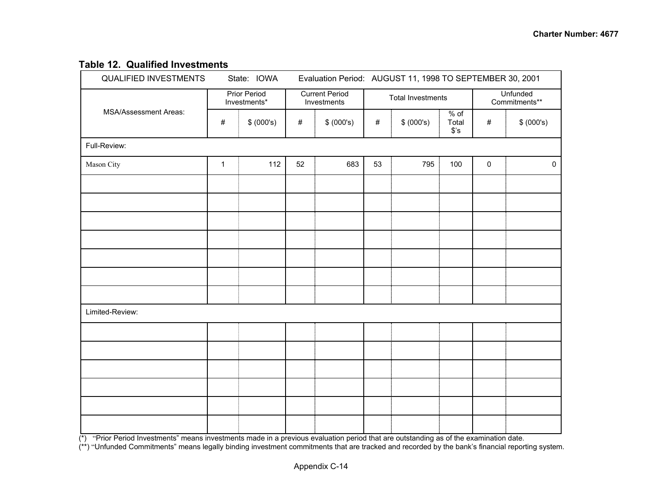### **Table 12. Qualified Investments**

|              |            |                                                    |            |                                      |            | <b>Unfunded</b><br>Commitments** |                          |                                                                                                                                                                                                                   |  |  |  |
|--------------|------------|----------------------------------------------------|------------|--------------------------------------|------------|----------------------------------|--------------------------|-------------------------------------------------------------------------------------------------------------------------------------------------------------------------------------------------------------------|--|--|--|
| $\#$         | \$ (000's) | $\#$                                               | \$ (000's) | $\#$                                 | \$ (000's) | $%$ of<br>Total<br>$$^{\circ}S$  | #                        | \$ (000's)                                                                                                                                                                                                        |  |  |  |
|              |            |                                                    |            |                                      |            |                                  |                          |                                                                                                                                                                                                                   |  |  |  |
| $\mathbf{1}$ | 112        | 52                                                 | 683        | 53                                   | 795        | 100                              | $\pmb{0}$                | $\mathbf 0$                                                                                                                                                                                                       |  |  |  |
|              |            |                                                    |            |                                      |            |                                  |                          |                                                                                                                                                                                                                   |  |  |  |
|              |            |                                                    |            |                                      |            |                                  |                          |                                                                                                                                                                                                                   |  |  |  |
|              |            |                                                    |            |                                      |            |                                  |                          |                                                                                                                                                                                                                   |  |  |  |
|              |            |                                                    |            |                                      |            |                                  |                          |                                                                                                                                                                                                                   |  |  |  |
|              |            |                                                    |            |                                      |            |                                  |                          |                                                                                                                                                                                                                   |  |  |  |
|              |            |                                                    |            |                                      |            |                                  |                          |                                                                                                                                                                                                                   |  |  |  |
|              |            |                                                    |            |                                      |            |                                  |                          |                                                                                                                                                                                                                   |  |  |  |
|              |            |                                                    |            |                                      |            |                                  |                          |                                                                                                                                                                                                                   |  |  |  |
|              |            |                                                    |            |                                      |            |                                  |                          |                                                                                                                                                                                                                   |  |  |  |
|              |            |                                                    |            |                                      |            |                                  |                          |                                                                                                                                                                                                                   |  |  |  |
|              |            |                                                    |            |                                      |            |                                  |                          |                                                                                                                                                                                                                   |  |  |  |
|              |            |                                                    |            |                                      |            |                                  |                          |                                                                                                                                                                                                                   |  |  |  |
|              |            |                                                    |            |                                      |            |                                  |                          |                                                                                                                                                                                                                   |  |  |  |
|              |            |                                                    |            |                                      |            |                                  |                          |                                                                                                                                                                                                                   |  |  |  |
|              |            | State: IOWA<br><b>Prior Period</b><br>Investments* |            | <b>Current Period</b><br>Investments |            |                                  | <b>Total Investments</b> | Evaluation Period: AUGUST 11, 1998 TO SEPTEMBER 30, 2001<br>$\langle k \rangle$ "Prior Poriod Invostments" means invostments made in a providue evaluation period that are outstanding as of the examination data |  |  |  |

(\*) "Prior Period Investments" means investments made in a previous evaluation period that are outstanding as of the examination date.

(\*\*) "Unfunded Commitments" means legally binding investment commitments that are tracked and recorded by the bank's financial reporting system.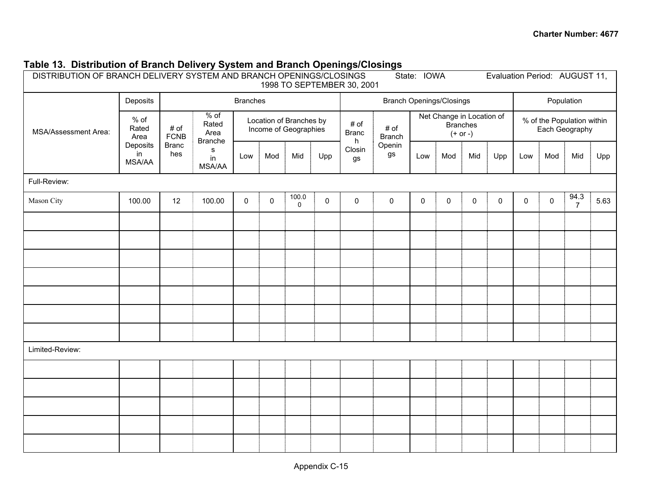| DISTRIBUTION OF BRANCH DELIVERY SYSTEM AND BRANCH OPENINGS/CLOSINGS<br>State: IOWA<br>Evaluation Period: AUGUST 11,<br>1998 TO SEPTEMBER 30, 2001 |                           |                     |                          |                 |                     |                      |           |                                               |              |              |             |              |     |              |           |                  |                     |                                           |                                                  |  |  |                           |                       |  |  |                                                            |  |  |  |                                              |  |
|---------------------------------------------------------------------------------------------------------------------------------------------------|---------------------------|---------------------|--------------------------|-----------------|---------------------|----------------------|-----------|-----------------------------------------------|--------------|--------------|-------------|--------------|-----|--------------|-----------|------------------|---------------------|-------------------------------------------|--------------------------------------------------|--|--|---------------------------|-----------------------|--|--|------------------------------------------------------------|--|--|--|----------------------------------------------|--|
|                                                                                                                                                   | Deposits                  |                     |                          | <b>Branches</b> |                     |                      |           | <b>Branch Openings/Closings</b><br>Population |              |              |             |              |     |              |           |                  |                     |                                           |                                                  |  |  |                           |                       |  |  |                                                            |  |  |  |                                              |  |
| $%$ of<br>MSA/Assessment Area:<br>Area<br>in                                                                                                      | Rated                     |                     |                          |                 |                     |                      |           |                                               |              |              |             |              |     |              |           |                  | # of<br><b>FCNB</b> | $%$ of<br>Rated<br>Area<br><b>Branche</b> | Location of Branches by<br>Income of Geographies |  |  | # of<br><b>Branc</b><br>h | # of<br><b>Branch</b> |  |  | Net Change in Location of<br><b>Branches</b><br>$(+ or -)$ |  |  |  | % of the Population within<br>Each Geography |  |
|                                                                                                                                                   | Deposits<br><b>MSA/AA</b> | <b>Branc</b><br>hes | s<br>in<br><b>MSA/AA</b> | Low             | Mod                 | Mid                  | Upp       | Closin<br>gs                                  | Openin<br>gs | Low          | Mod         | Mid          | Upp | Low          | Mod       | Mid              | Upp                 |                                           |                                                  |  |  |                           |                       |  |  |                                                            |  |  |  |                                              |  |
| Full-Review:                                                                                                                                      |                           |                     |                          |                 |                     |                      |           |                                               |              |              |             |              |     |              |           |                  |                     |                                           |                                                  |  |  |                           |                       |  |  |                                                            |  |  |  |                                              |  |
| Mason City                                                                                                                                        | 100.00                    | 12                  | 100.00                   | $\mathsf{O}$    | $\mathsf{O}\xspace$ | 100.0<br>$\mathsf 0$ | $\pmb{0}$ | $\mathsf{O}\xspace$                           | $\pmb{0}$    | $\mathsf{O}$ | $\mathsf 0$ | $\mathsf{O}$ | 0   | $\mathsf{O}$ | $\pmb{0}$ | $\frac{94.3}{7}$ | 5.63                |                                           |                                                  |  |  |                           |                       |  |  |                                                            |  |  |  |                                              |  |
|                                                                                                                                                   |                           |                     |                          |                 |                     |                      |           |                                               |              |              |             |              |     |              |           |                  |                     |                                           |                                                  |  |  |                           |                       |  |  |                                                            |  |  |  |                                              |  |
|                                                                                                                                                   |                           |                     |                          |                 |                     |                      |           |                                               |              |              |             |              |     |              |           |                  |                     |                                           |                                                  |  |  |                           |                       |  |  |                                                            |  |  |  |                                              |  |
|                                                                                                                                                   |                           |                     |                          |                 |                     |                      |           |                                               |              |              |             |              |     |              |           |                  |                     |                                           |                                                  |  |  |                           |                       |  |  |                                                            |  |  |  |                                              |  |
|                                                                                                                                                   |                           |                     |                          |                 |                     |                      |           |                                               |              |              |             |              |     |              |           |                  |                     |                                           |                                                  |  |  |                           |                       |  |  |                                                            |  |  |  |                                              |  |
|                                                                                                                                                   |                           |                     |                          |                 |                     |                      |           |                                               |              |              |             |              |     |              |           |                  |                     |                                           |                                                  |  |  |                           |                       |  |  |                                                            |  |  |  |                                              |  |
|                                                                                                                                                   |                           |                     |                          |                 |                     |                      |           |                                               |              |              |             |              |     |              |           |                  |                     |                                           |                                                  |  |  |                           |                       |  |  |                                                            |  |  |  |                                              |  |
|                                                                                                                                                   |                           |                     |                          |                 |                     |                      |           |                                               |              |              |             |              |     |              |           |                  |                     |                                           |                                                  |  |  |                           |                       |  |  |                                                            |  |  |  |                                              |  |
| Limited-Review:                                                                                                                                   |                           |                     |                          |                 |                     |                      |           |                                               |              |              |             |              |     |              |           |                  |                     |                                           |                                                  |  |  |                           |                       |  |  |                                                            |  |  |  |                                              |  |
|                                                                                                                                                   |                           |                     |                          |                 |                     |                      |           |                                               |              |              |             |              |     |              |           |                  |                     |                                           |                                                  |  |  |                           |                       |  |  |                                                            |  |  |  |                                              |  |
|                                                                                                                                                   |                           |                     |                          |                 |                     |                      |           |                                               |              |              |             |              |     |              |           |                  |                     |                                           |                                                  |  |  |                           |                       |  |  |                                                            |  |  |  |                                              |  |
|                                                                                                                                                   |                           |                     |                          |                 |                     |                      |           |                                               |              |              |             |              |     |              |           |                  |                     |                                           |                                                  |  |  |                           |                       |  |  |                                                            |  |  |  |                                              |  |
|                                                                                                                                                   |                           |                     |                          |                 |                     |                      |           |                                               |              |              |             |              |     |              |           |                  |                     |                                           |                                                  |  |  |                           |                       |  |  |                                                            |  |  |  |                                              |  |
|                                                                                                                                                   |                           |                     |                          |                 |                     |                      |           |                                               |              |              |             |              |     |              |           |                  |                     |                                           |                                                  |  |  |                           |                       |  |  |                                                            |  |  |  |                                              |  |

### **Table 13. Distribution of Branch Delivery System and Branch Openings/Closings**